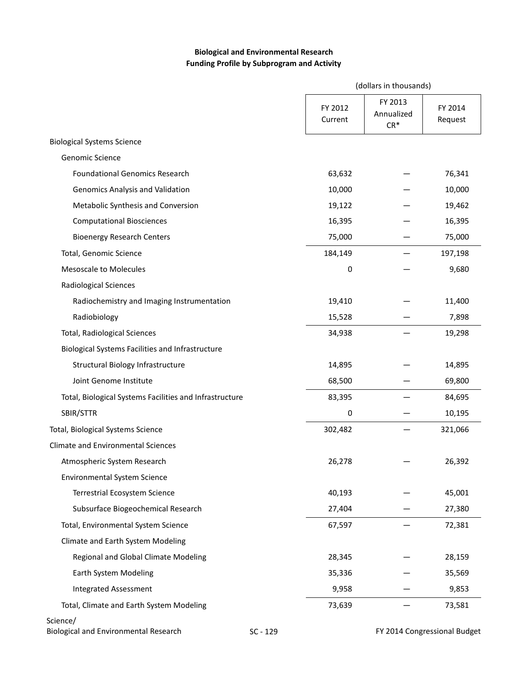# **Biological and Environmental Research Funding Profile by Subprogram and Activity**

|                                                          |                    | (dollars in thousands)         |                              |  |  |
|----------------------------------------------------------|--------------------|--------------------------------|------------------------------|--|--|
|                                                          | FY 2012<br>Current | FY 2013<br>Annualized<br>$CR*$ | FY 2014<br>Request           |  |  |
| <b>Biological Systems Science</b>                        |                    |                                |                              |  |  |
| Genomic Science                                          |                    |                                |                              |  |  |
| <b>Foundational Genomics Research</b>                    | 63,632             |                                | 76,341                       |  |  |
| Genomics Analysis and Validation                         | 10,000             |                                | 10,000                       |  |  |
| Metabolic Synthesis and Conversion                       | 19,122             |                                | 19,462                       |  |  |
| <b>Computational Biosciences</b>                         | 16,395             |                                | 16,395                       |  |  |
| <b>Bioenergy Research Centers</b>                        | 75,000             |                                | 75,000                       |  |  |
| Total, Genomic Science                                   | 184,149            |                                | 197,198                      |  |  |
| <b>Mesoscale to Molecules</b>                            | 0                  |                                | 9,680                        |  |  |
| <b>Radiological Sciences</b>                             |                    |                                |                              |  |  |
| Radiochemistry and Imaging Instrumentation               | 19,410             |                                | 11,400                       |  |  |
| Radiobiology                                             | 15,528             |                                | 7,898                        |  |  |
| Total, Radiological Sciences                             | 34,938             |                                | 19,298                       |  |  |
| Biological Systems Facilities and Infrastructure         |                    |                                |                              |  |  |
| Structural Biology Infrastructure                        | 14,895             |                                | 14,895                       |  |  |
| Joint Genome Institute                                   | 68,500             |                                | 69,800                       |  |  |
| Total, Biological Systems Facilities and Infrastructure  | 83,395             |                                | 84,695                       |  |  |
| SBIR/STTR                                                | 0                  |                                | 10,195                       |  |  |
| Total, Biological Systems Science                        | 302,482            |                                | 321,066                      |  |  |
| <b>Climate and Environmental Sciences</b>                |                    |                                |                              |  |  |
| Atmospheric System Research                              | 26,278             |                                | 26,392                       |  |  |
| <b>Environmental System Science</b>                      |                    |                                |                              |  |  |
| Terrestrial Ecosystem Science                            | 40,193             |                                | 45,001                       |  |  |
| Subsurface Biogeochemical Research                       | 27,404             |                                | 27,380                       |  |  |
| Total, Environmental System Science                      | 67,597             |                                | 72,381                       |  |  |
| Climate and Earth System Modeling                        |                    |                                |                              |  |  |
| Regional and Global Climate Modeling                     | 28,345             |                                | 28,159                       |  |  |
| Earth System Modeling                                    | 35,336             |                                | 35,569                       |  |  |
| <b>Integrated Assessment</b>                             | 9,958              |                                | 9,853                        |  |  |
| Total, Climate and Earth System Modeling                 | 73,639             |                                | 73,581                       |  |  |
| Science/<br><b>Biological and Environmental Research</b> | SC - 129           |                                | FY 2014 Congressional Budget |  |  |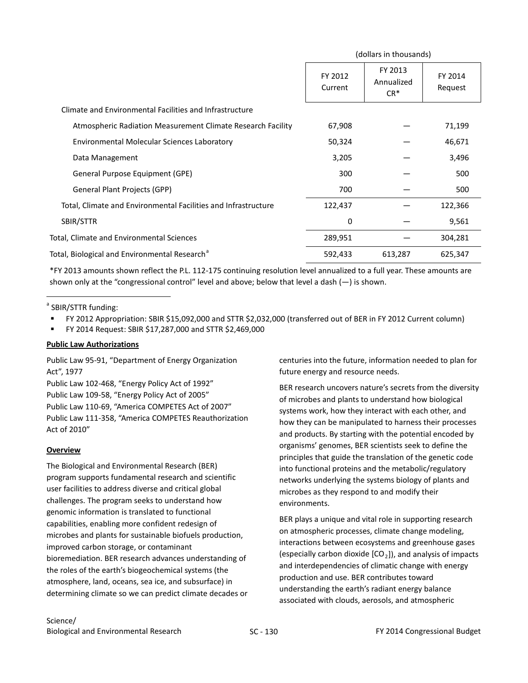|                                                                | (dollars in thousands) |                                 |                    |
|----------------------------------------------------------------|------------------------|---------------------------------|--------------------|
|                                                                | FY 2012<br>Current     | FY 2013<br>Annualized<br>$CR^*$ | FY 2014<br>Request |
| Climate and Environmental Facilities and Infrastructure        |                        |                                 |                    |
| Atmospheric Radiation Measurement Climate Research Facility    | 67,908                 |                                 | 71,199             |
| Environmental Molecular Sciences Laboratory                    | 50,324                 |                                 | 46,671             |
| Data Management                                                | 3,205                  |                                 | 3,496              |
| General Purpose Equipment (GPE)                                | 300                    |                                 | 500                |
| <b>General Plant Projects (GPP)</b>                            | 700                    |                                 | 500                |
| Total, Climate and Environmental Facilities and Infrastructure | 122,437                |                                 | 122,366            |
| SBIR/STTR                                                      | 0                      |                                 | 9,561              |
| Total, Climate and Environmental Sciences                      | 289,951                |                                 | 304,281            |
| Total, Biological and Environmental Research <sup>a</sup>      | 592,433                | 613,287                         | 625,347            |

\*FY 2013 amounts shown reflect the P.L. 112-175 continuing resolution level annualized to a full year. These amounts are shown only at the "congressional control" level and above; below that level a dash  $(-)$  is shown.

<sup>a</sup> SBIR/STTR funding:

 $\overline{a}$ 

- FY 2012 Appropriation: SBIR \$15,092,000 and STTR \$2,032,000 (transferred out of BER in FY 2012 Current column)
- FY 2014 Request: SBIR \$17,287,000 and STTR \$2,469,000

### **Public Law Authorizations**

Public Law 95-91, "Department of Energy Organization Act", 1977

Public Law 102-468, "Energy Policy Act of 1992" Public Law 109-58, "Energy Policy Act of 2005" Public Law 110-69, "America COMPETES Act of 2007" Public Law 111-358, "America COMPETES Reauthorization Act of 2010"

### **Overview**

The Biological and Environmental Research (BER) program supports fundamental research and scientific user facilities to address diverse and critical global challenges. The program seeks to understand how genomic information is translated to functional capabilities, enabling more confident redesign of microbes and plants for sustainable biofuels production, improved carbon storage, or contaminant bioremediation. BER research advances understanding of the roles of the earth's biogeochemical systems (the atmosphere, land, oceans, sea ice, and subsurface) in determining climate so we can predict climate decades or

centuries into the future, information needed to plan for future energy and resource needs.

BER research uncovers nature's secrets from the diversity of microbes and plants to understand how biological systems work, how they interact with each other, and how they can be manipulated to harness their processes and products. By starting with the potential encoded by organisms' genomes, BER scientists seek to define the principles that guide the translation of the genetic code into functional proteins and the metabolic/regulatory networks underlying the systems biology of plants and microbes as they respond to and modify their environments.

BER plays a unique and vital role in supporting research on atmospheric processes, climate change modeling, interactions between ecosystems and greenhouse gases (especially carbon dioxide  $[CO<sub>2</sub>]$ ), and analysis of impacts and interdependencies of climatic change with energy production and use. BER contributes toward understanding the earth's radiant energy balance associated with clouds, aerosols, and atmospheric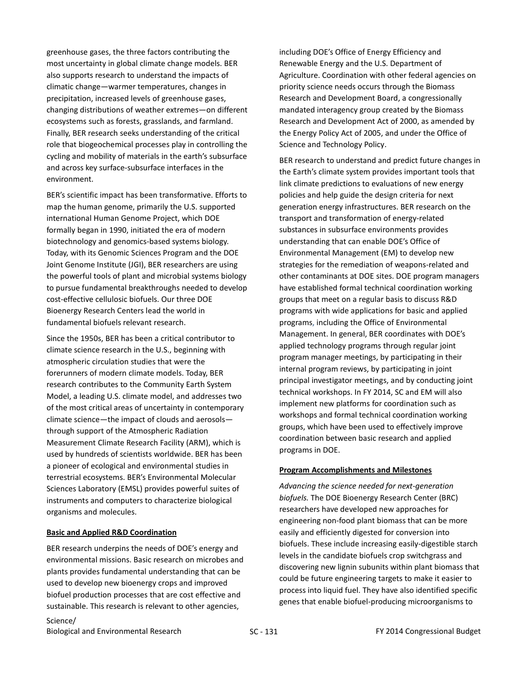greenhouse gases, the three factors contributing the most uncertainty in global climate change models. BER also supports research to understand the impacts of climatic change—warmer temperatures, changes in precipitation, increased levels of greenhouse gases, changing distributions of weather extremes—on different ecosystems such as forests, grasslands, and farmland. Finally, BER research seeks understanding of the critical role that biogeochemical processes play in controlling the cycling and mobility of materials in the earth's subsurface and across key surface-subsurface interfaces in the environment.

BER's scientific impact has been transformative. Efforts to map the human genome, primarily the U.S. supported international Human Genome Project, which DOE formally began in 1990, initiated the era of modern biotechnology and genomics-based systems biology. Today, with its Genomic Sciences Program and the DOE Joint Genome Institute (JGI), BER researchers are using the powerful tools of plant and microbial systems biology to pursue fundamental breakthroughs needed to develop cost-effective cellulosic biofuels. Our three DOE Bioenergy Research Centers lead the world in fundamental biofuels relevant research.

<span id="page-2-0"></span>Since the 1950s, BER has been a critical contributor to climate science research in the U.S., beginning with atmospheric circulation studies that were the forerunners of modern climate models. Today, BER research contributes to the Community Earth System Model, a leading U.S. climate model, and addresses two of the most critical areas of uncertainty in contemporary climate science—the impact of clouds and aerosols through support of the Atmospheric Radiation Measurement Climate Research Facility (ARM), which is used by hundreds of scientists worldwide. BER has been a pioneer of ecological and environmental studies in terrestrial ecosystems. BER's Environmental Molecular Sciences Laboratory (EMSL) provides powerful suites of instruments and computers to characterize biological organisms and molecules.

#### **Basic and Applied R&D Coordination**

BER research underpins the needs of DOE's energy and environmental missions. Basic research on microbes and plants provides fundamental understanding that can be used to develop new bioenergy crops and improved biofuel production processes that are cost effective and sustainable. This research is relevant to other agencies,

including DOE's Office of Energy Efficiency and Renewable Energy and the U.S. Department of Agriculture. Coordination with other federal agencies on priority science needs occurs through the Biomass Research and Development Board, a congressionally mandated interagency group created by the Biomass Research and Development Act of 2000, as amended by the Energy Policy Act of 2005, and under the Office of Science and Technology Policy.

BER research to understand and predict future changes in the Earth's climate system provides important tools that link climate predictions to evaluations of new energy policies and help guide the design criteria for next generation energy infrastructures. BER research on the transport and transformation of energy-related substances in subsurface environments provides understanding that can enable DOE's Office of Environmental Management (EM) to develop new strategies for the remediation of weapons-related and other contaminants at DOE sites. DOE program managers have established formal technical coordination working groups that meet on a regular basis to discuss R&D programs with wide applications for basic and applied programs, including the Office of Environmental Management. In general, BER coordinates with DOE's applied technology programs through regular joint program manager meetings, by participating in their internal program reviews, by participating in joint principal investigator meetings, and by conducting joint technical workshops. In FY 2014, SC and EM will also implement new platforms for coordination such as workshops and formal technical coordination working groups, which have been used to effectively improve coordination between basic research and applied programs in DOE.

#### **Program Accomplishments and Milestones**

*Advancing the science needed for next-generation biofuels.* The DOE Bioenergy Research Center (BRC) researchers have developed new approaches for engineering non-food plant biomass that can be more easily and efficiently digested for conversion into biofuels. These include increasing easily-digestible starch levels in the candidate biofuels crop switchgrass and discovering new lignin subunits within plant biomass that could be future engineering targets to make it easier to process into liquid fuel. They have also identified specific genes that enable biofuel-producing microorganisms to

Science/ Biological and Environmental Research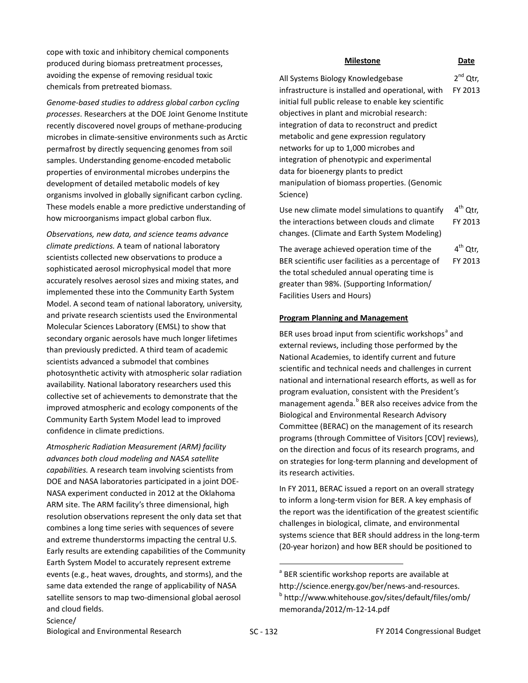cope with toxic and inhibitory chemical components produced during biomass pretreatment processes, avoiding the expense of removing residual toxic chemicals from pretreated biomass.

*Genome-based studies to address global carbon cycling processes*. Researchers at the DOE Joint Genome Institute recently discovered novel groups of methane-producing microbes in climate-sensitive environments such as Arctic permafrost by directly sequencing genomes from soil samples. Understanding genome-encoded metabolic properties of environmental microbes underpins the development of detailed metabolic models of key organisms involved in globally significant carbon cycling. These models enable a more predictive understanding of how microorganisms impact global carbon flux.

*Observations, new data, and science teams advance climate predictions.* A team of national laboratory scientists collected new observations to produce a sophisticated aerosol microphysical model that more accurately resolves aerosol sizes and mixing states, and implemented these into the Community Earth System Model. A second team of national laboratory, university, and private research scientists used the Environmental Molecular Sciences Laboratory (EMSL) to show that secondary organic aerosols have much longer lifetimes than previously predicted. A third team of academic scientists advanced a submodel that combines photosynthetic activity with atmospheric solar radiation availability. National laboratory researchers used this collective set of achievements to demonstrate that the improved atmospheric and ecology components of the Community Earth System Model lead to improved confidence in climate predictions.

*Atmospheric Radiation Measurement (ARM) facility advances both cloud modeling and NASA satellite capabilities.* A research team involving scientists from DOE and NASA laboratories participated in a joint DOE-NASA experiment conducted in 2012 at the Oklahoma ARM site. The ARM facility's three dimensional, high resolution observations represent the only data set that combines a long time series with sequences of severe and extreme thunderstorms impacting the central U.S. Early results are extending capabilities of the Community Earth System Model to accurately represent extreme events (e.g., heat waves, droughts, and storms), and the same data extended the range of applicability of NASA satellite sensors to map two-dimensional global aerosol and cloud fields.

**Milestone Date**

All Systems Biology Knowledgebase infrastructure is installed and operational, with initial full public release to enable key scientific objectives in plant and microbial research: integration of data to reconstruct and predict metabolic and gene expression regulatory networks for up to 1,000 microbes and integration of phenotypic and experimental data for bioenergy plants to predict manipulation of biomass properties. (Genomic 2<sup>nd</sup> Qtr, FY 2013

Use new climate model simulations to quantify the interactions between clouds and climate changes. (Climate and Earth System Modeling)  $4<sup>th</sup>$  Otr. FY 2013

The average achieved operation time of the BER scientific user facilities as a percentage of the total scheduled annual operating time is greater than 98%. (Supporting Information/ Facilities Users and Hours)  $4^{\text{th}}$  Otr. FY 2013

#### **Program Planning and Management**

Science)

BER uses bro[a](#page-3-0)d input from scientific workshops<sup>a</sup> and external reviews, including those performed by the National Academies, to identify current and future scientific and technical needs and challenges in current national and international research efforts, as well as for program evaluation, consistent with the President's management agenda.<sup>[b](#page-3-1)</sup> BER also receives advice from the Biological and Environmental Research Advisory Committee (BERAC) on the management of its research programs (through Committee of Visitors [COV] reviews), on the direction and focus of its research programs, and on strategies for long-term planning and development of its research activities.

In FY 2011, BERAC issued a report on an overall strategy to inform a long-term vision for BER. A key emphasis of the report was the identification of the greatest scientific challenges in biological, climate, and environmental systems science that BER should address in the long-term (20-year horizon) and how BER should be positioned to

<sup>&</sup>lt;sup>a</sup> BER scientific workshop reports are available at [http://science.energy.gov/ber/news-and-resources.](http://science.energy.gov/ber/news-and-resources)<br><sup>b</sup> [http://www.whitehouse.gov/sites/default/files/omb/](http://www.whitehouse.gov/sites/default/files/omb/memoranda/2012/m-12-14.pdf) [memoranda/2012/m-12-14.pdf](http://www.whitehouse.gov/sites/default/files/omb/memoranda/2012/m-12-14.pdf)

<span id="page-3-1"></span><span id="page-3-0"></span>Biological and Environmental Research SC - 132 FY 2014 Congressional Budget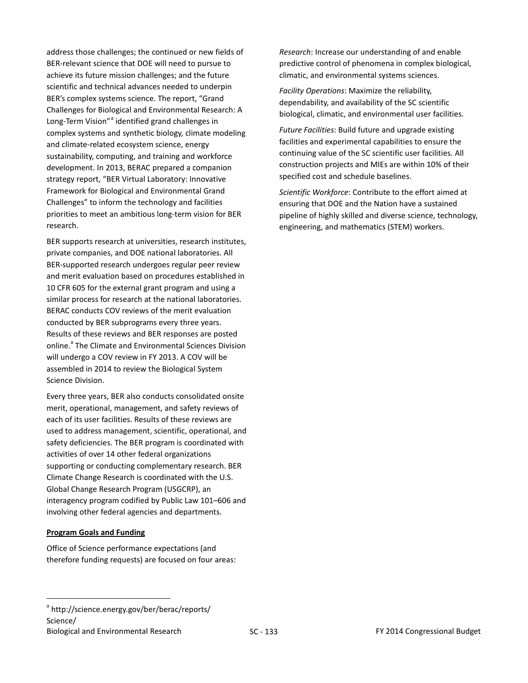address those challenges; the continued or new fields of BER-relevant science that DOE will need to pursue to achieve its future mission challenges; and the future scientific and technical advances needed to underpin BER's complex systems science. The report, "Grand Challenges for Biological and Environmental Research: A Long-Term Vision"<sup>[a](#page-4-0)</sup> identified grand challenges in complex systems and synthetic biology, climate modeling and climate-related ecosystem science, energy sustainability, computing, and training and workforce development. In 2013, BERAC prepared a companion strategy report, "BER Virtual Laboratory: Innovative Framework for Biological and Environmental Grand Challenges" to inform the technology and facilities priorities to meet an ambitious long-term vision for BER research.

BER supports research at universities, research institutes, private companies, and DOE national laboratories. All BER-supported research undergoes regular peer review and merit evaluation based on procedures established in 10 CFR 605 for the external grant program and using a similar process for research at the national laboratories. BERAC conducts COV reviews of the merit evaluation conducted by BER subprograms every three years. Results of these reviews and BER responses are posted online.<sup>a</sup> The Climate and Environmental Sciences Division will undergo a COV review in FY 2013. A COV will be assembled in 2014 to review the Biological System Science Division.

Every three years, BER also conducts consolidated onsite merit, operational, management, and safety reviews of each of its user facilities. Results of these reviews are used to address management, scientific, operational, and safety deficiencies. The BER program is coordinated with activities of over 14 other federal organizations supporting or conducting complementary research. BER Climate Change Research is coordinated with the U.S. Global Change Research Program (USGCRP), an interagency program codified by Public Law 101–606 and involving other federal agencies and departments.

#### **Program Goals and Funding**

 $\overline{a}$ 

Office of Science performance expectations (and therefore funding requests) are focused on four areas: *Research*: Increase our understanding of and enable predictive control of phenomena in complex biological, climatic, and environmental systems sciences.

*Facility Operations*: Maximize the reliability, dependability, and availability of the SC scientific biological, climatic, and environmental user facilities.

*Future Facilities*: Build future and upgrade existing facilities and experimental capabilities to ensure the continuing value of the SC scientific user facilities. All construction projects and MIEs are within 10% of their specified cost and schedule baselines.

*Scientific Workforce*: Contribute to the effort aimed at ensuring that DOE and the Nation have a sustained pipeline of highly skilled and diverse science, technology, engineering, and mathematics (STEM) workers.

<span id="page-4-0"></span><sup>&</sup>lt;sup>a</sup> <http://science.energy.gov/ber/berac/reports/> Science/ Biological and Environmental Research Theory Construction SC - 133 Theory Congressional Budget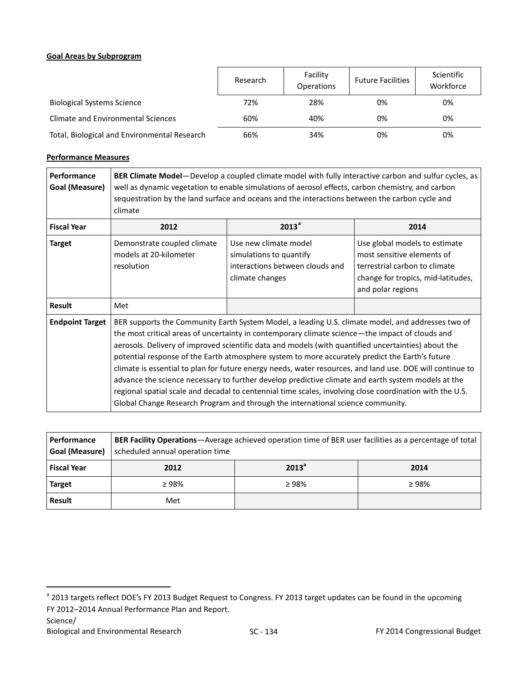### **Goal Areas by Subprogram**

|                                              | Research | Facility<br><b>Operations</b> | <b>Future Facilities</b> | Scientific<br>Workforce |
|----------------------------------------------|----------|-------------------------------|--------------------------|-------------------------|
| <b>Biological Systems Science</b>            | 72%      | 28%                           | 0%                       | 0%                      |
| Climate and Environmental Sciences           | 60%      | 40%                           | 0%                       | 0%                      |
| Total, Biological and Environmental Research | 66%      | 34%                           | 0%                       | 0%                      |

# **Performance Measures**

| <b>Performance</b><br>Goal (Measure) | BER Climate Model-Develop a coupled climate model with fully interactive carbon and sulfur cycles, as<br>well as dynamic vegetation to enable simulations of aerosol effects, carbon chemistry, and carbon<br>sequestration by the land surface and oceans and the interactions between the carbon cycle and<br>climate                                                                                                                                                                                                                                                                                                                                                                                                                                                                                                          |                                                                                                        |                                                                                                                                                         |  |
|--------------------------------------|----------------------------------------------------------------------------------------------------------------------------------------------------------------------------------------------------------------------------------------------------------------------------------------------------------------------------------------------------------------------------------------------------------------------------------------------------------------------------------------------------------------------------------------------------------------------------------------------------------------------------------------------------------------------------------------------------------------------------------------------------------------------------------------------------------------------------------|--------------------------------------------------------------------------------------------------------|---------------------------------------------------------------------------------------------------------------------------------------------------------|--|
| <b>Fiscal Year</b>                   | 2012                                                                                                                                                                                                                                                                                                                                                                                                                                                                                                                                                                                                                                                                                                                                                                                                                             | 2013 <sup>a</sup>                                                                                      | 2014                                                                                                                                                    |  |
| <b>Target</b>                        | Demonstrate coupled climate<br>models at 20-kilometer<br>resolution                                                                                                                                                                                                                                                                                                                                                                                                                                                                                                                                                                                                                                                                                                                                                              | Use new climate model<br>simulations to quantify<br>interactions between clouds and<br>climate changes | Use global models to estimate<br>most sensitive elements of<br>terrestrial carbon to climate<br>change for tropics, mid-latitudes,<br>and polar regions |  |
| <b>Result</b>                        | Met                                                                                                                                                                                                                                                                                                                                                                                                                                                                                                                                                                                                                                                                                                                                                                                                                              |                                                                                                        |                                                                                                                                                         |  |
| <b>Endpoint Target</b>               | BER supports the Community Earth System Model, a leading U.S. climate model, and addresses two of<br>the most critical areas of uncertainty in contemporary climate science—the impact of clouds and<br>aerosols. Delivery of improved scientific data and models (with quantified uncertainties) about the<br>potential response of the Earth atmosphere system to more accurately predict the Earth's future<br>climate is essential to plan for future energy needs, water resources, and land use. DOE will continue to<br>advance the science necessary to further develop predictive climate and earth system models at the<br>regional spatial scale and decadal to centennial time scales, involving close coordination with the U.S.<br>Global Change Research Program and through the international science community. |                                                                                                        |                                                                                                                                                         |  |

| l Performance<br>  Goal (Measure) | <b>BER Facility Operations</b> —Average achieved operation time of BER user facilities as a percentage of total<br>scheduled annual operation time |                   |       |  |
|-----------------------------------|----------------------------------------------------------------------------------------------------------------------------------------------------|-------------------|-------|--|
| <b>Fiscal Year</b>                | 2012                                                                                                                                               | 2013 <sup>a</sup> | 2014  |  |
| <b>Target</b>                     | $\geq 98\%$                                                                                                                                        | $\geq 98\%$       | ≥ 98% |  |
| Result                            | Met                                                                                                                                                |                   |       |  |

Science/

<sup>&</sup>lt;sup>a</sup> 2013 targets reflect DOE's FY 2013 Budget Request to Congress. FY 2013 target updates can be found in the upcoming FY 2012–2014 Annual Performance Plan and Report.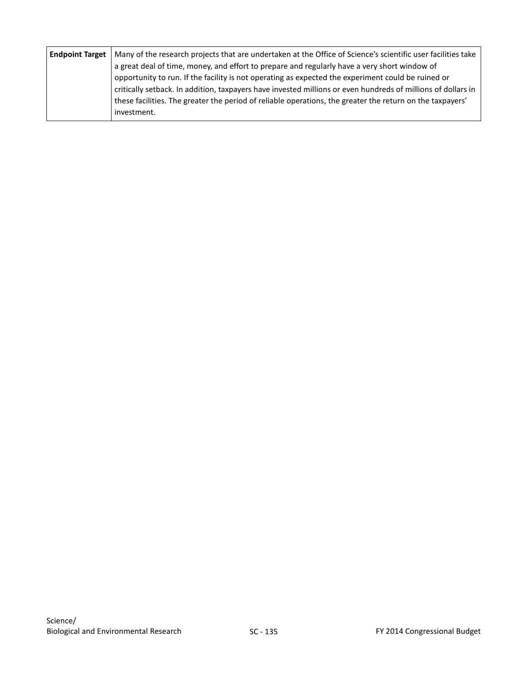| <b>Endpoint Target</b>   Many of the research projects that are undertaken at the Office of Science's scientific user facilities take |
|---------------------------------------------------------------------------------------------------------------------------------------|
| a great deal of time, money, and effort to prepare and regularly have a very short window of                                          |
| opportunity to run. If the facility is not operating as expected the experiment could be ruined or                                    |
| critically setback. In addition, taxpayers have invested millions or even hundreds of millions of dollars in                          |
| these facilities. The greater the period of reliable operations, the greater the return on the taxpayers'                             |
| investment.                                                                                                                           |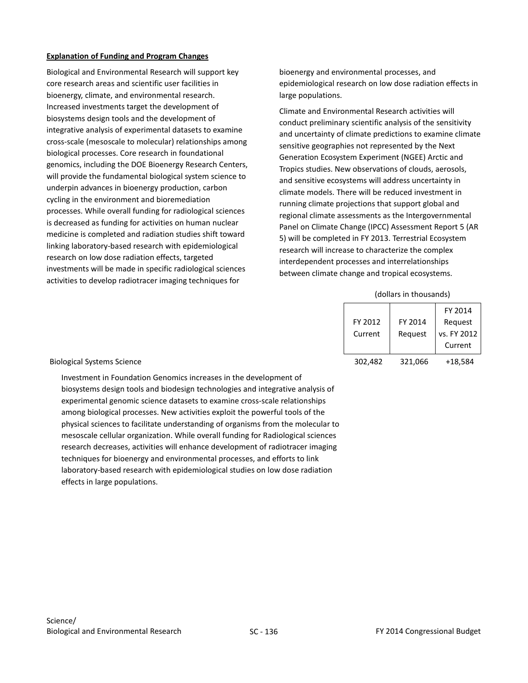### **Explanation of Funding and Program Changes**

Biological and Environmental Research will support key core research areas and scientific user facilities in bioenergy, climate, and environmental research. Increased investments target the development of biosystems design tools and the development of integrative analysis of experimental datasets to examine cross-scale (mesoscale to molecular) relationships among biological processes. Core research in foundational genomics, including the DOE Bioenergy Research Centers, will provide the fundamental biological system science to underpin advances in bioenergy production, carbon cycling in the environment and bioremediation processes. While overall funding for radiological sciences is decreased as funding for activities on human nuclear medicine is completed and radiation studies shift toward linking laboratory-based research with epidemiological research on low dose radiation effects, targeted investments will be made in specific radiological sciences activities to develop radiotracer imaging techniques for

bioenergy and environmental processes, and epidemiological research on low dose radiation effects in large populations.

Climate and Environmental Research activities will conduct preliminary scientific analysis of the sensitivity and uncertainty of climate predictions to examine climate sensitive geographies not represented by the Next Generation Ecosystem Experiment (NGEE) Arctic and Tropics studies. New observations of clouds, aerosols, and sensitive ecosystems will address uncertainty in climate models. There will be reduced investment in running climate projections that support global and regional climate assessments as the Intergovernmental Panel on Climate Change (IPCC) Assessment Report 5 (AR 5) will be completed in FY 2013. Terrestrial Ecosystem research will increase to characterize the complex interdependent processes and interrelationships between climate change and tropical ecosystems.

#### (dollars in thousands)

|         |         | FY 2014     |
|---------|---------|-------------|
| FY 2012 | FY 2014 | Request     |
| Current | Reguest | vs. FY 2012 |
|         |         | Current     |
| 302,482 | 321,066 | $+18,584$   |

#### Biological Systems Science

Investment in Foundation Genomics increases in the development of biosystems design tools and biodesign technologies and integrative analysis of experimental genomic science datasets to examine cross-scale relationships among biological processes. New activities exploit the powerful tools of the physical sciences to facilitate understanding of organisms from the molecular to mesoscale cellular organization. While overall funding for Radiological sciences research decreases, activities will enhance development of radiotracer imaging techniques for bioenergy and environmental processes, and efforts to link laboratory-based research with epidemiological studies on low dose radiation effects in large populations.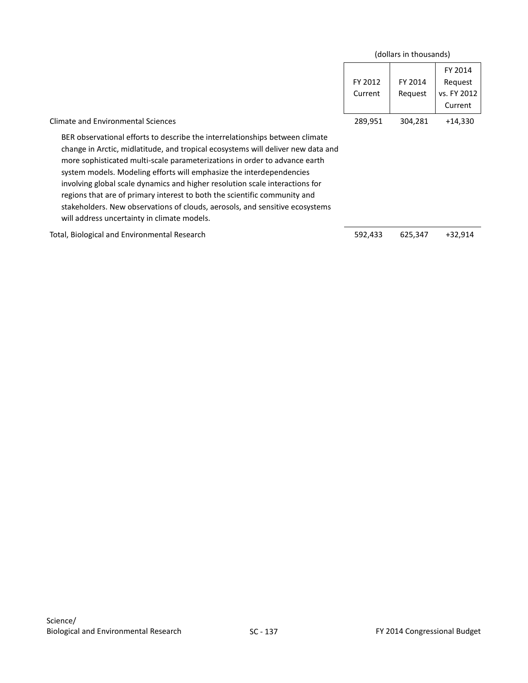|                                                                                                                                                                                                                                                                                                                                                                                                                                                                                                                                                                                                                    |                    | (dollars in thousands) |                                              |
|--------------------------------------------------------------------------------------------------------------------------------------------------------------------------------------------------------------------------------------------------------------------------------------------------------------------------------------------------------------------------------------------------------------------------------------------------------------------------------------------------------------------------------------------------------------------------------------------------------------------|--------------------|------------------------|----------------------------------------------|
|                                                                                                                                                                                                                                                                                                                                                                                                                                                                                                                                                                                                                    | FY 2012<br>Current | FY 2014<br>Request     | FY 2014<br>Request<br>vs. FY 2012<br>Current |
| <b>Climate and Environmental Sciences</b>                                                                                                                                                                                                                                                                                                                                                                                                                                                                                                                                                                          | 289,951            | 304,281                | +14,330                                      |
| BER observational efforts to describe the interrelationships between climate<br>change in Arctic, midlatitude, and tropical ecosystems will deliver new data and<br>more sophisticated multi-scale parameterizations in order to advance earth<br>system models. Modeling efforts will emphasize the interdependencies<br>involving global scale dynamics and higher resolution scale interactions for<br>regions that are of primary interest to both the scientific community and<br>stakeholders. New observations of clouds, aerosols, and sensitive ecosystems<br>will address uncertainty in climate models. |                    |                        |                                              |

Total, Biological and Environmental Research 692,433 625,347 +32,914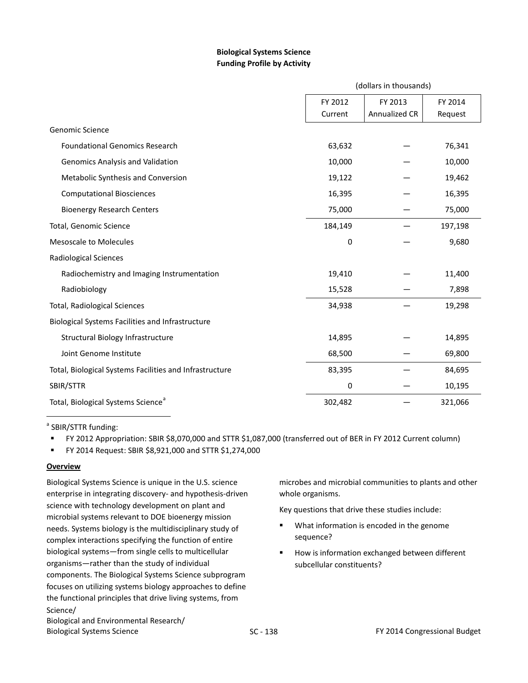# **Biological Systems Science Funding Profile by Activity**

|                                                         | (dollars in thousands) |               |         |
|---------------------------------------------------------|------------------------|---------------|---------|
|                                                         | FY 2012                | FY 2013       | FY 2014 |
|                                                         | Current                | Annualized CR | Request |
| <b>Genomic Science</b>                                  |                        |               |         |
| <b>Foundational Genomics Research</b>                   | 63,632                 |               | 76,341  |
| <b>Genomics Analysis and Validation</b>                 | 10,000                 |               | 10,000  |
| Metabolic Synthesis and Conversion                      | 19,122                 |               | 19,462  |
| <b>Computational Biosciences</b>                        | 16,395                 |               | 16,395  |
| <b>Bioenergy Research Centers</b>                       | 75,000                 |               | 75,000  |
| Total, Genomic Science                                  | 184,149                |               | 197,198 |
| <b>Mesoscale to Molecules</b>                           | 0                      |               | 9,680   |
| <b>Radiological Sciences</b>                            |                        |               |         |
| Radiochemistry and Imaging Instrumentation              | 19,410                 |               | 11,400  |
| Radiobiology                                            | 15,528                 |               | 7,898   |
| <b>Total, Radiological Sciences</b>                     | 34,938                 |               | 19,298  |
| Biological Systems Facilities and Infrastructure        |                        |               |         |
| Structural Biology Infrastructure                       | 14,895                 |               | 14,895  |
| Joint Genome Institute                                  | 68,500                 |               | 69,800  |
| Total, Biological Systems Facilities and Infrastructure | 83,395                 |               | 84,695  |
| SBIR/STTR                                               | 0                      |               | 10,195  |
| Total, Biological Systems Science <sup>a</sup>          | 302,482                |               | 321,066 |
|                                                         |                        |               |         |

<sup>a</sup> SBIR/STTR funding:

FY 2012 Appropriation: SBIR \$8,070,000 and STTR \$1,087,000 (transferred out of BER in FY 2012 Current column)

FY 2014 Request: SBIR \$8,921,000 and STTR \$1,274,000

### **Overview**

Biological Systems Science is unique in the U.S. science enterprise in integrating discovery- and hypothesis-driven science with technology development on plant and microbial systems relevant to DOE bioenergy mission needs. Systems biology is the multidisciplinary study of complex interactions specifying the function of entire biological systems—from single cells to multicellular organisms—rather than the study of individual components. The Biological Systems Science subprogram focuses on utilizing systems biology approaches to define the functional principles that drive living systems, from Science/ Biological and Environmental Research/

microbes and microbial communities to plants and other whole organisms.

Key questions that drive these studies include:

- **What information is encoded in the genome** sequence?
- How is information exchanged between different subcellular constituents?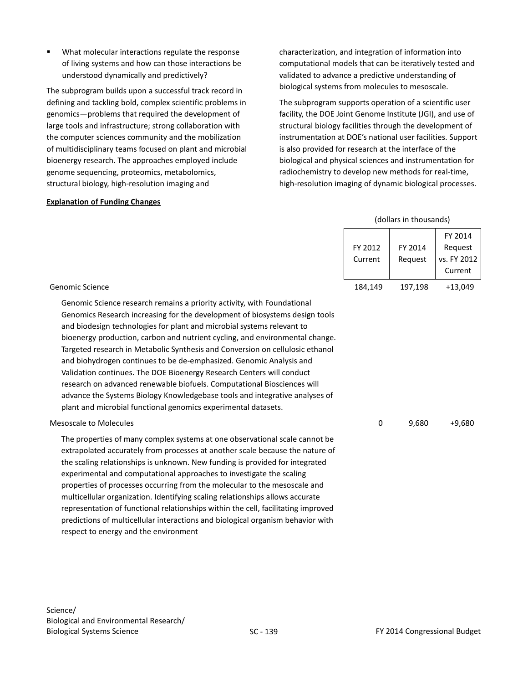What molecular interactions regulate the response of living systems and how can those interactions be understood dynamically and predictively?

The subprogram builds upon a successful track record in defining and tackling bold, complex scientific problems in genomics—problems that required the development of large tools and infrastructure; strong collaboration with the computer sciences community and the mobilization of multidisciplinary teams focused on plant and microbial bioenergy research. The approaches employed include genome sequencing, proteomics, metabolomics, structural biology, high-resolution imaging and

### **Explanation of Funding Changes**

characterization, and integration of information into computational models that can be iteratively tested and validated to advance a predictive understanding of biological systems from molecules to mesoscale.

The subprogram supports operation of a scientific user facility, the DOE Joint Genome Institute (JGI), and use of structural biology facilities through the development of instrumentation at DOE's national user facilities. Support is also provided for research at the interface of the biological and physical sciences and instrumentation for radiochemistry to develop new methods for real-time, high-resolution imaging of dynamic biological processes.

|                                                                                                                                                                                                                                                                                                                                                                                                                                                                                                                                                                                                                                                                                                                                                                               |                    | (dollars in thousands) |                                              |
|-------------------------------------------------------------------------------------------------------------------------------------------------------------------------------------------------------------------------------------------------------------------------------------------------------------------------------------------------------------------------------------------------------------------------------------------------------------------------------------------------------------------------------------------------------------------------------------------------------------------------------------------------------------------------------------------------------------------------------------------------------------------------------|--------------------|------------------------|----------------------------------------------|
|                                                                                                                                                                                                                                                                                                                                                                                                                                                                                                                                                                                                                                                                                                                                                                               | FY 2012<br>Current | FY 2014<br>Request     | FY 2014<br>Request<br>vs. FY 2012<br>Current |
| <b>Genomic Science</b>                                                                                                                                                                                                                                                                                                                                                                                                                                                                                                                                                                                                                                                                                                                                                        | 184,149            | 197,198                | $+13,049$                                    |
| Genomic Science research remains a priority activity, with Foundational<br>Genomics Research increasing for the development of biosystems design tools<br>and biodesign technologies for plant and microbial systems relevant to<br>bioenergy production, carbon and nutrient cycling, and environmental change.<br>Targeted research in Metabolic Synthesis and Conversion on cellulosic ethanol<br>and biohydrogen continues to be de-emphasized. Genomic Analysis and<br>Validation continues. The DOE Bioenergy Research Centers will conduct<br>research on advanced renewable biofuels. Computational Biosciences will<br>advance the Systems Biology Knowledgebase tools and integrative analyses of<br>plant and microbial functional genomics experimental datasets. |                    |                        |                                              |
| <b>Mesoscale to Molecules</b>                                                                                                                                                                                                                                                                                                                                                                                                                                                                                                                                                                                                                                                                                                                                                 | 0                  | 9,680                  | $+9,680$                                     |
| The properties of many complex systems at one observational scale cannot be<br>extrapolated accurately from processes at another scale because the nature of<br>the scaling relationships is unknown. New funding is provided for integrated<br>experimental and computational approaches to investigate the scaling<br>properties of processes occurring from the molecular to the mesoscale and<br>multicellular organization. Identifying scaling relationships allows accurate<br>representation of functional relationships within the cell, facilitating improved                                                                                                                                                                                                       |                    |                        |                                              |

respect to energy and the environment

predictions of multicellular interactions and biological organism behavior with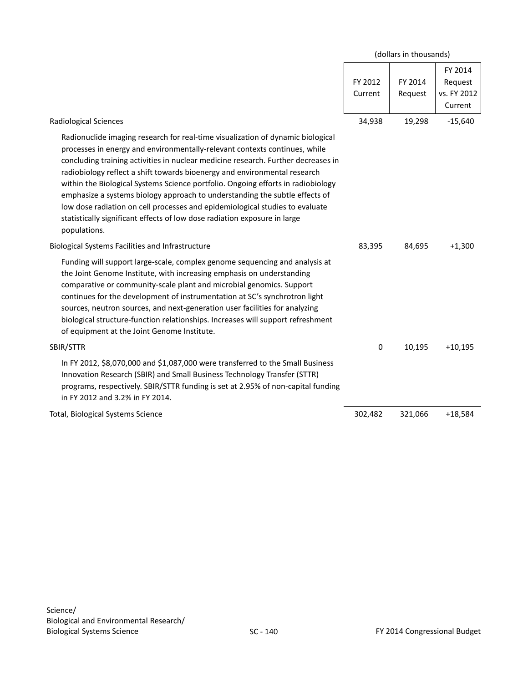<span id="page-11-0"></span>

|                                                                                                                                                                                                                                                                                                                                                                                                                                                                                                                                                                                                                                                                                 | (dollars in thousands) |                    |                                              |
|---------------------------------------------------------------------------------------------------------------------------------------------------------------------------------------------------------------------------------------------------------------------------------------------------------------------------------------------------------------------------------------------------------------------------------------------------------------------------------------------------------------------------------------------------------------------------------------------------------------------------------------------------------------------------------|------------------------|--------------------|----------------------------------------------|
|                                                                                                                                                                                                                                                                                                                                                                                                                                                                                                                                                                                                                                                                                 | FY 2012<br>Current     | FY 2014<br>Request | FY 2014<br>Request<br>vs. FY 2012<br>Current |
| Radiological Sciences                                                                                                                                                                                                                                                                                                                                                                                                                                                                                                                                                                                                                                                           | 34,938                 | 19,298             | $-15,640$                                    |
| Radionuclide imaging research for real-time visualization of dynamic biological<br>processes in energy and environmentally-relevant contexts continues, while<br>concluding training activities in nuclear medicine research. Further decreases in<br>radiobiology reflect a shift towards bioenergy and environmental research<br>within the Biological Systems Science portfolio. Ongoing efforts in radiobiology<br>emphasize a systems biology approach to understanding the subtle effects of<br>low dose radiation on cell processes and epidemiological studies to evaluate<br>statistically significant effects of low dose radiation exposure in large<br>populations. |                        |                    |                                              |
| Biological Systems Facilities and Infrastructure                                                                                                                                                                                                                                                                                                                                                                                                                                                                                                                                                                                                                                | 83,395                 | 84,695             | $+1,300$                                     |
| Funding will support large-scale, complex genome sequencing and analysis at<br>the Joint Genome Institute, with increasing emphasis on understanding<br>comparative or community-scale plant and microbial genomics. Support<br>continues for the development of instrumentation at SC's synchrotron light<br>sources, neutron sources, and next-generation user facilities for analyzing<br>biological structure-function relationships. Increases will support refreshment<br>of equipment at the Joint Genome Institute.                                                                                                                                                     |                        |                    |                                              |
| SBIR/STTR                                                                                                                                                                                                                                                                                                                                                                                                                                                                                                                                                                                                                                                                       | 0                      | 10,195             | $+10,195$                                    |
| In FY 2012, \$8,070,000 and \$1,087,000 were transferred to the Small Business<br>Innovation Research (SBIR) and Small Business Technology Transfer (STTR)<br>programs, respectively. SBIR/STTR funding is set at 2.95% of non-capital funding<br>in FY 2012 and 3.2% in FY 2014.                                                                                                                                                                                                                                                                                                                                                                                               |                        |                    |                                              |
| Total, Biological Systems Science                                                                                                                                                                                                                                                                                                                                                                                                                                                                                                                                                                                                                                               | 302,482                | 321,066            | $+18,584$                                    |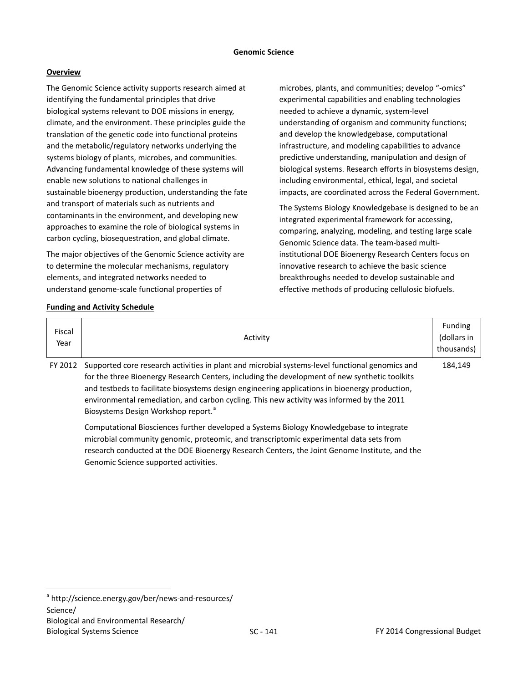The Genomic Science activity supports research aimed at identifying the fundamental principles that drive biological systems relevant to DOE missions in energy, climate, and the environment. These principles guide the translation of the genetic code into functional proteins and the metabolic/regulatory networks underlying the systems biology of plants, microbes, and communities. Advancing fundamental knowledge of these systems will enable new solutions to national challenges in sustainable bioenergy production, understanding the fate and transport of materials such as nutrients and contaminants in the environment, and developing new approaches to examine the role of biological systems in carbon cycling, biosequestration, and global climate.

The major objectives of the Genomic Science activity are to determine the molecular mechanisms, regulatory elements, and integrated networks needed to understand genome-scale functional properties of

**Funding and Activity Schedule**

microbes, plants, and communities; develop "-omics" experimental capabilities and enabling technologies needed to achieve a dynamic, system-level understanding of organism and community functions; and develop the knowledgebase, computational infrastructure, and modeling capabilities to advance predictive understanding, manipulation and design of biological systems. Research efforts in biosystems design, including environmental, ethical, legal, and societal impacts, are coordinated across the Federal Government.

The Systems Biology Knowledgebase is designed to be an integrated experimental framework for accessing, comparing, analyzing, modeling, and testing large scale Genomic Science data. The team-based multiinstitutional DOE Bioenergy Research Centers focus on innovative research to achieve the basic science breakthroughs needed to develop sustainable and effective methods of producing cellulosic biofuels.

| Fiscal<br>Year | Activity                                                                                                                                                                                                                                                                                                                                                                                                                                           | <b>Funding</b><br>(dollars in<br>thousands) |
|----------------|----------------------------------------------------------------------------------------------------------------------------------------------------------------------------------------------------------------------------------------------------------------------------------------------------------------------------------------------------------------------------------------------------------------------------------------------------|---------------------------------------------|
| FY 2012        | Supported core research activities in plant and microbial systems-level functional genomics and<br>for the three Bioenergy Research Centers, including the development of new synthetic toolkits<br>and testbeds to facilitate biosystems design engineering applications in bioenergy production,<br>environmental remediation, and carbon cycling. This new activity was informed by the 2011<br>Biosystems Design Workshop report. <sup>a</sup> | 184,149                                     |
|                | Computational Biosciences further developed a Systems Biology Knowledgebase to integrate<br>microbial community genomic, proteomic, and transcriptomic experimental data sets from                                                                                                                                                                                                                                                                 |                                             |

research conducted at the DOE Bioenergy Research Centers, the Joint Genome Institute, and the Genomic Science supported activities.

<span id="page-12-0"></span><sup>a</sup> <http://science.energy.gov/ber/news-and-resources/> Science/ Biological and Environmental Research/ Biological Systems Science The Congressional Budget Congressional Budget Congressional Budget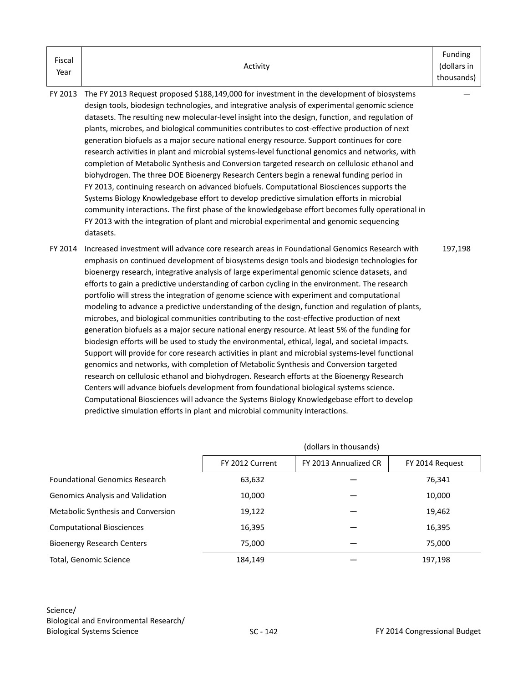| Fiscal |          | Funding     |
|--------|----------|-------------|
|        | Activity | (dollars in |
| Year   |          | thousands)  |

- FY 2013 The FY 2013 Request proposed \$188,149,000 for investment in the development of biosystems design tools, biodesign technologies, and integrative analysis of experimental genomic science datasets. The resulting new molecular-level insight into the design, function, and regulation of plants, microbes, and biological communities contributes to cost-effective production of next generation biofuels as a major secure national energy resource. Support continues for core research activities in plant and microbial systems-level functional genomics and networks, with completion of Metabolic Synthesis and Conversion targeted research on cellulosic ethanol and biohydrogen. The three DOE Bioenergy Research Centers begin a renewal funding period in FY 2013, continuing research on advanced biofuels. Computational Biosciences supports the Systems Biology Knowledgebase effort to develop predictive simulation efforts in microbial community interactions. The first phase of the knowledgebase effort becomes fully operational in FY 2013 with the integration of plant and microbial experimental and genomic sequencing datasets.
- FY 2014 Increased investment will advance core research areas in Foundational Genomics Research with emphasis on continued development of biosystems design tools and biodesign technologies for bioenergy research, integrative analysis of large experimental genomic science datasets, and efforts to gain a predictive understanding of carbon cycling in the environment. The research portfolio will stress the integration of genome science with experiment and computational modeling to advance a predictive understanding of the design, function and regulation of plants, microbes, and biological communities contributing to the cost-effective production of next generation biofuels as a major secure national energy resource. At least 5% of the funding for biodesign efforts will be used to study the environmental, ethical, legal, and societal impacts. Support will provide for core research activities in plant and microbial systems-level functional genomics and networks, with completion of Metabolic Synthesis and Conversion targeted research on cellulosic ethanol and biohydrogen. Research efforts at the Bioenergy Research Centers will advance biofuels development from foundational biological systems science. Computational Biosciences will advance the Systems Biology Knowledgebase effort to develop predictive simulation efforts in plant and microbial community interactions. 197,198

|                                         | (dollars in thousands) |                       |                 |
|-----------------------------------------|------------------------|-----------------------|-----------------|
|                                         | FY 2012 Current        | FY 2013 Annualized CR | FY 2014 Request |
| <b>Foundational Genomics Research</b>   | 63,632                 |                       | 76,341          |
| <b>Genomics Analysis and Validation</b> | 10,000                 |                       | 10,000          |
| Metabolic Synthesis and Conversion      | 19,122                 |                       | 19,462          |
| <b>Computational Biosciences</b>        | 16,395                 |                       | 16,395          |
| <b>Bioenergy Research Centers</b>       | 75.000                 |                       | 75,000          |
| Total, Genomic Science                  | 184,149                |                       | 197,198         |

—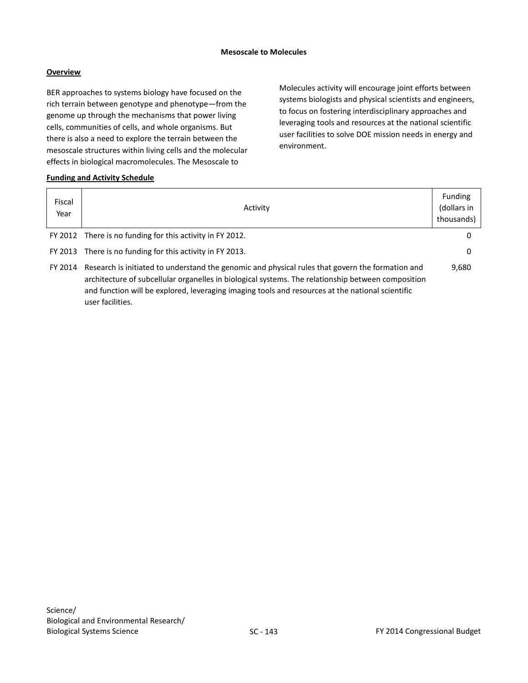### **Mesoscale to Molecules**

# **Overview**

BER approaches to systems biology have focused on the rich terrain between genotype and phenotype—from the genome up through the mechanisms that power living cells, communities of cells, and whole organisms. But there is also a need to explore the terrain between the mesoscale structures within living cells and the molecular effects in biological macromolecules. The Mesoscale to

Molecules activity will encourage joint efforts between systems biologists and physical scientists and engineers, to focus on fostering interdisciplinary approaches and leveraging tools and resources at the national scientific user facilities to solve DOE mission needs in energy and environment.

# **Funding and Activity Schedule**

| Fiscal<br>Year | Activity                                                                                                                                                                                                                                                                                                                       | <b>Funding</b><br>(dollars in<br>thousands) |
|----------------|--------------------------------------------------------------------------------------------------------------------------------------------------------------------------------------------------------------------------------------------------------------------------------------------------------------------------------|---------------------------------------------|
|                | FY 2012 There is no funding for this activity in FY 2012.                                                                                                                                                                                                                                                                      | 0                                           |
|                | FY 2013 There is no funding for this activity in FY 2013.                                                                                                                                                                                                                                                                      | 0                                           |
| FY 2014        | Research is initiated to understand the genomic and physical rules that govern the formation and<br>architecture of subcellular organelles in biological systems. The relationship between composition<br>and function will be explored, leveraging imaging tools and resources at the national scientific<br>user facilities. | 9,680                                       |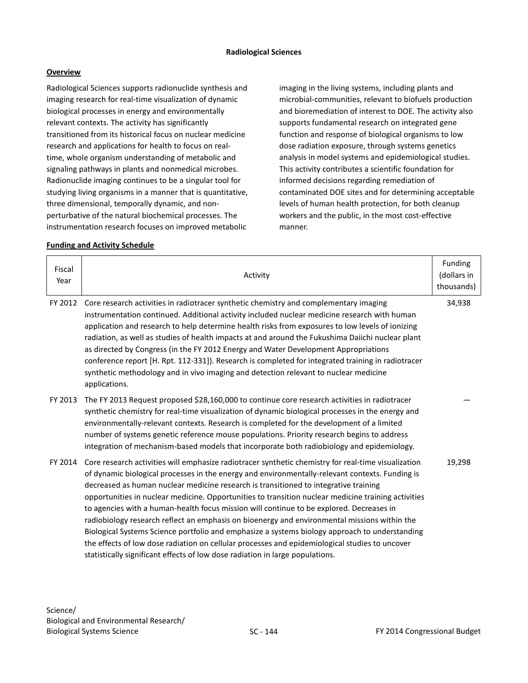Radiological Sciences supports radionuclide synthesis and imaging research for real-time visualization of dynamic biological processes in energy and environmentally relevant contexts. The activity has significantly transitioned from its historical focus on nuclear medicine research and applications for health to focus on realtime, whole organism understanding of metabolic and signaling pathways in plants and nonmedical microbes. Radionuclide imaging continues to be a singular tool for studying living organisms in a manner that is quantitative, three dimensional, temporally dynamic, and nonperturbative of the natural biochemical processes. The instrumentation research focuses on improved metabolic

imaging in the living systems, including plants and microbial-communities, relevant to biofuels production and bioremediation of interest to DOE. The activity also supports fundamental research on integrated gene function and response of biological organisms to low dose radiation exposure, through systems genetics analysis in model systems and epidemiological studies. This activity contributes a scientific foundation for informed decisions regarding remediation of contaminated DOE sites and for determining acceptable levels of human health protection, for both cleanup workers and the public, in the most cost-effective manner.

### **Funding and Activity Schedule**

| Fiscal<br>Year | Activity                                                                                                                                                                                                                                                                                                                                                                                                                                                                                                                                                                                                                                                                                                                                                                                                                                                                               | Funding<br>(dollars in<br>thousands) |
|----------------|----------------------------------------------------------------------------------------------------------------------------------------------------------------------------------------------------------------------------------------------------------------------------------------------------------------------------------------------------------------------------------------------------------------------------------------------------------------------------------------------------------------------------------------------------------------------------------------------------------------------------------------------------------------------------------------------------------------------------------------------------------------------------------------------------------------------------------------------------------------------------------------|--------------------------------------|
| FY 2012        | Core research activities in radiotracer synthetic chemistry and complementary imaging<br>instrumentation continued. Additional activity included nuclear medicine research with human<br>application and research to help determine health risks from exposures to low levels of ionizing<br>radiation, as well as studies of health impacts at and around the Fukushima Daiichi nuclear plant<br>as directed by Congress (in the FY 2012 Energy and Water Development Appropriations<br>conference report [H. Rpt. 112-331]). Research is completed for integrated training in radiotracer<br>synthetic methodology and in vivo imaging and detection relevant to nuclear medicine<br>applications.                                                                                                                                                                                   | 34,938                               |
| FY 2013        | The FY 2013 Request proposed \$28,160,000 to continue core research activities in radiotracer<br>synthetic chemistry for real-time visualization of dynamic biological processes in the energy and<br>environmentally-relevant contexts. Research is completed for the development of a limited<br>number of systems genetic reference mouse populations. Priority research begins to address<br>integration of mechanism-based models that incorporate both radiobiology and epidemiology.                                                                                                                                                                                                                                                                                                                                                                                            |                                      |
| FY 2014        | Core research activities will emphasize radiotracer synthetic chemistry for real-time visualization<br>of dynamic biological processes in the energy and environmentally-relevant contexts. Funding is<br>decreased as human nuclear medicine research is transitioned to integrative training<br>opportunities in nuclear medicine. Opportunities to transition nuclear medicine training activities<br>to agencies with a human-health focus mission will continue to be explored. Decreases in<br>radiobiology research reflect an emphasis on bioenergy and environmental missions within the<br>Biological Systems Science portfolio and emphasize a systems biology approach to understanding<br>the effects of low dose radiation on cellular processes and epidemiological studies to uncover<br>statistically significant effects of low dose radiation in large populations. | 19,298                               |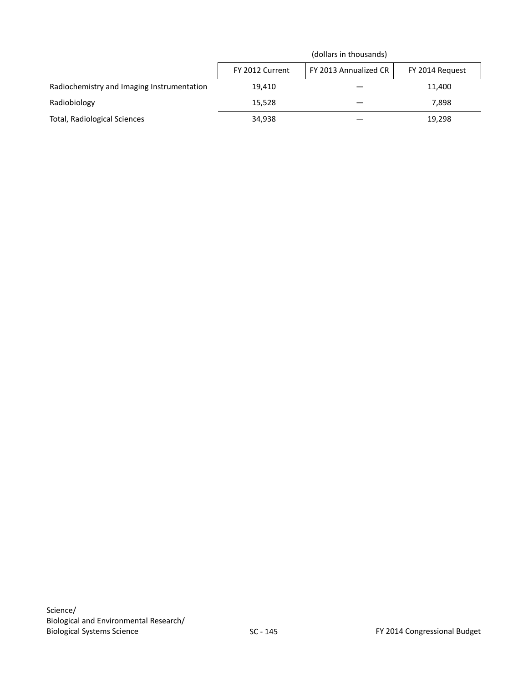|                                            |                 | (dollars in thousands) |                 |
|--------------------------------------------|-----------------|------------------------|-----------------|
|                                            | FY 2012 Current | FY 2013 Annualized CR  | FY 2014 Request |
| Radiochemistry and Imaging Instrumentation | 19.410          |                        | 11.400          |
| Radiobiology                               | 15.528          |                        | 7.898           |
| Total, Radiological Sciences               | 34,938          |                        | 19,298          |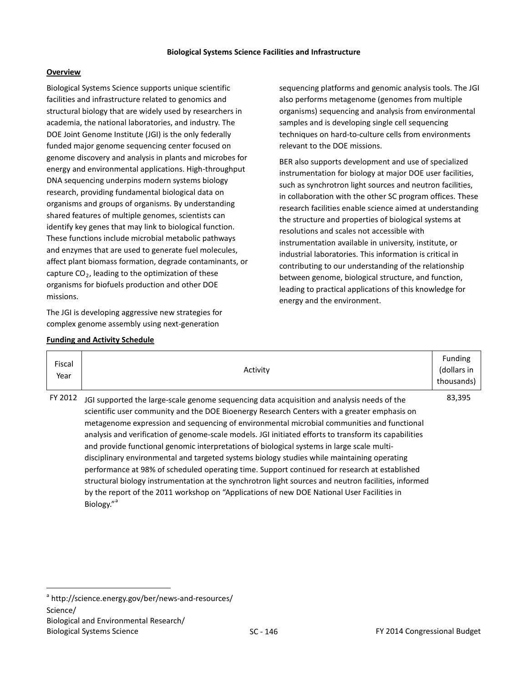Biological Systems Science supports unique scientific facilities and infrastructure related to genomics and structural biology that are widely used by researchers in academia, the national laboratories, and industry. The DOE Joint Genome Institute (JGI) is the only federally funded major genome sequencing center focused on genome discovery and analysis in plants and microbes for energy and environmental applications. High-throughput DNA sequencing underpins modern systems biology research, providing fundamental biological data on organisms and groups of organisms. By understanding shared features of multiple genomes, scientists can identify key genes that may link to biological function. These functions include microbial metabolic pathways and enzymes that are used to generate fuel molecules, affect plant biomass formation, degrade contaminants, or capture  $CO<sub>2</sub>$ , leading to the optimization of these organisms for biofuels production and other DOE missions.

The JGI is developing aggressive new strategies for complex genome assembly using next-generation

sequencing platforms and genomic analysis tools. The JGI also performs metagenome (genomes from multiple organisms) sequencing and analysis from environmental samples and is developing single cell sequencing techniques on hard-to-culture cells from environments relevant to the DOE missions.

BER also supports development and use of specialized instrumentation for biology at major DOE user facilities, such as synchrotron light sources and neutron facilities, in collaboration with the other SC program offices. These research facilities enable science aimed at understanding the structure and properties of biological systems at resolutions and scales not accessible with instrumentation available in university, institute, or industrial laboratories. This information is critical in contributing to our understanding of the relationship between genome, biological structure, and function, leading to practical applications of this knowledge for energy and the environment.

|  |  |  |  | <b>Funding and Activity Schedule</b> |
|--|--|--|--|--------------------------------------|
|--|--|--|--|--------------------------------------|

| Fiscal<br>Year | Activity                                                                                                                                                                                                                                                                                                                                                                                                                                                                                                                                                                                                                                                                                                                                                                                                                                                                                                          | Funding<br>(dollars in<br>thousands) |
|----------------|-------------------------------------------------------------------------------------------------------------------------------------------------------------------------------------------------------------------------------------------------------------------------------------------------------------------------------------------------------------------------------------------------------------------------------------------------------------------------------------------------------------------------------------------------------------------------------------------------------------------------------------------------------------------------------------------------------------------------------------------------------------------------------------------------------------------------------------------------------------------------------------------------------------------|--------------------------------------|
| FY 2012        | JGI supported the large-scale genome sequencing data acquisition and analysis needs of the<br>scientific user community and the DOE Bioenergy Research Centers with a greater emphasis on<br>metagenome expression and sequencing of environmental microbial communities and functional<br>analysis and verification of genome-scale models. JGI initiated efforts to transform its capabilities<br>and provide functional genomic interpretations of biological systems in large scale multi-<br>disciplinary environmental and targeted systems biology studies while maintaining operating<br>performance at 98% of scheduled operating time. Support continued for research at established<br>structural biology instrumentation at the synchrotron light sources and neutron facilities, informed<br>by the report of the 2011 workshop on "Applications of new DOE National User Facilities in<br>Biology." | 83,395                               |

<span id="page-17-0"></span><sup>a</sup> <http://science.energy.gov/ber/news-and-resources/> Science/ Biological and Environmental Research/ Biological Systems Science The Congressional Budget Congressional Budget Congressional Budget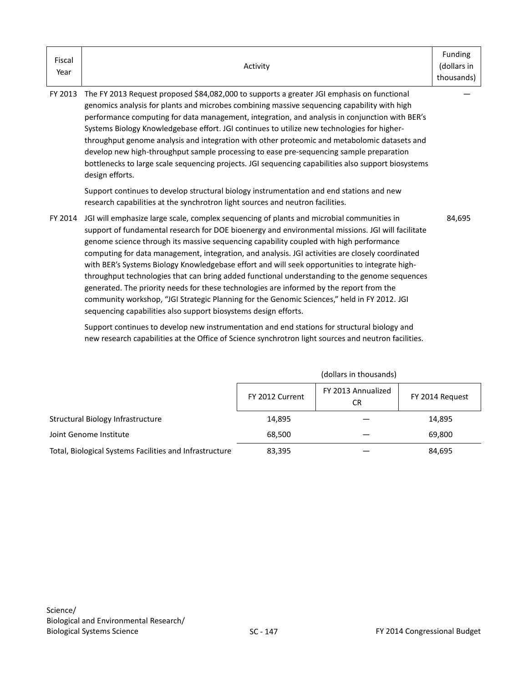| Fiscal<br>Year | Activity                                                                                                                                                                                                                                                                                                                                                                                                                                                                                                                                                                                                                                                                                                                                                                                                                                                      | Funding<br>(dollars in<br>thousands) |
|----------------|---------------------------------------------------------------------------------------------------------------------------------------------------------------------------------------------------------------------------------------------------------------------------------------------------------------------------------------------------------------------------------------------------------------------------------------------------------------------------------------------------------------------------------------------------------------------------------------------------------------------------------------------------------------------------------------------------------------------------------------------------------------------------------------------------------------------------------------------------------------|--------------------------------------|
| FY 2013        | The FY 2013 Request proposed \$84,082,000 to supports a greater JGI emphasis on functional<br>genomics analysis for plants and microbes combining massive sequencing capability with high<br>performance computing for data management, integration, and analysis in conjunction with BER's<br>Systems Biology Knowledgebase effort. JGI continues to utilize new technologies for higher-<br>throughput genome analysis and integration with other proteomic and metabolomic datasets and<br>develop new high-throughput sample processing to ease pre-sequencing sample preparation<br>bottlenecks to large scale sequencing projects. JGI sequencing capabilities also support biosystems<br>design efforts.                                                                                                                                               |                                      |
|                | Support continues to develop structural biology instrumentation and end stations and new<br>research capabilities at the synchrotron light sources and neutron facilities.                                                                                                                                                                                                                                                                                                                                                                                                                                                                                                                                                                                                                                                                                    |                                      |
| FY 2014        | JGI will emphasize large scale, complex sequencing of plants and microbial communities in<br>support of fundamental research for DOE bioenergy and environmental missions. JGI will facilitate<br>genome science through its massive sequencing capability coupled with high performance<br>computing for data management, integration, and analysis. JGI activities are closely coordinated<br>with BER's Systems Biology Knowledgebase effort and will seek opportunities to integrate high-<br>throughput technologies that can bring added functional understanding to the genome sequences<br>generated. The priority needs for these technologies are informed by the report from the<br>community workshop, "JGI Strategic Planning for the Genomic Sciences," held in FY 2012. JGI<br>sequencing capabilities also support biosystems design efforts. | 84,695                               |
|                | Support continues to develop new instrumentation and end stations for structural biology and<br>new research capabilities at the Office of Science synchrotron light sources and neutron facilities.                                                                                                                                                                                                                                                                                                                                                                                                                                                                                                                                                                                                                                                          |                                      |

|                                                         |                 | (dollars in thousands)    |                 |
|---------------------------------------------------------|-----------------|---------------------------|-----------------|
|                                                         | FY 2012 Current | FY 2013 Annualized<br>CR. | FY 2014 Request |
| Structural Biology Infrastructure                       | 14,895          |                           | 14,895          |
| Joint Genome Institute                                  | 68,500          |                           | 69,800          |
| Total, Biological Systems Facilities and Infrastructure | 83,395          |                           | 84,695          |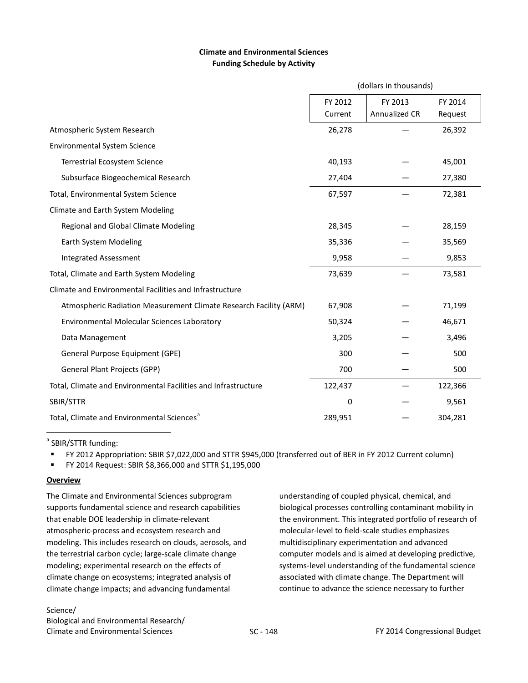# **Climate and Environmental Sciences Funding Schedule by Activity**

|                                                                   | (dollars in thousands)        |               |         |
|-------------------------------------------------------------------|-------------------------------|---------------|---------|
|                                                                   | FY 2013<br>FY 2012<br>FY 2014 |               |         |
|                                                                   | Current                       | Annualized CR | Request |
| Atmospheric System Research                                       | 26,278                        |               | 26,392  |
| <b>Environmental System Science</b>                               |                               |               |         |
| <b>Terrestrial Ecosystem Science</b>                              | 40,193                        |               | 45,001  |
| Subsurface Biogeochemical Research                                | 27,404                        |               | 27,380  |
| Total, Environmental System Science                               | 67,597                        |               | 72,381  |
| Climate and Earth System Modeling                                 |                               |               |         |
| Regional and Global Climate Modeling                              | 28,345                        |               | 28,159  |
| Earth System Modeling                                             | 35,336                        |               | 35,569  |
| <b>Integrated Assessment</b>                                      | 9,958                         |               | 9,853   |
| Total, Climate and Earth System Modeling                          | 73,639                        |               | 73,581  |
| Climate and Environmental Facilities and Infrastructure           |                               |               |         |
| Atmospheric Radiation Measurement Climate Research Facility (ARM) | 67,908                        |               | 71,199  |
| Environmental Molecular Sciences Laboratory                       | 50,324                        |               | 46,671  |
| Data Management                                                   | 3,205                         |               | 3,496   |
| General Purpose Equipment (GPE)                                   | 300                           |               | 500     |
| General Plant Projects (GPP)                                      | 700                           |               | 500     |
| Total, Climate and Environmental Facilities and Infrastructure    | 122,437                       |               | 122,366 |
| SBIR/STTR                                                         | 0                             |               | 9,561   |
| Total, Climate and Environmental Sciences <sup>a</sup>            | 289,951                       |               | 304,281 |

<sup>a</sup> SBIR/STTR funding:

FY 2012 Appropriation: SBIR \$7,022,000 and STTR \$945,000 (transferred out of BER in FY 2012 Current column)

FY 2014 Request: SBIR \$8,366,000 and STTR \$1,195,000

# **Overview**

 $\overline{a}$ 

The Climate and Environmental Sciences subprogram supports fundamental science and research capabilities that enable DOE leadership in climate-relevant atmospheric-process and ecosystem research and modeling. This includes research on clouds, aerosols, and the terrestrial carbon cycle; large-scale climate change modeling; experimental research on the effects of climate change on ecosystems; integrated analysis of climate change impacts; and advancing fundamental

Biological and Environmental Research/ Climate and Environmental Sciences The SC - 148 Congressional Budget Climate and Environmental Sciences The SC - 148

understanding of coupled physical, chemical, and biological processes controlling contaminant mobility in the environment. This integrated portfolio of research of molecular-level to field-scale studies emphasizes multidisciplinary experimentation and advanced computer models and is aimed at developing predictive, systems-level understanding of the fundamental science associated with climate change. The Department will continue to advance the science necessary to further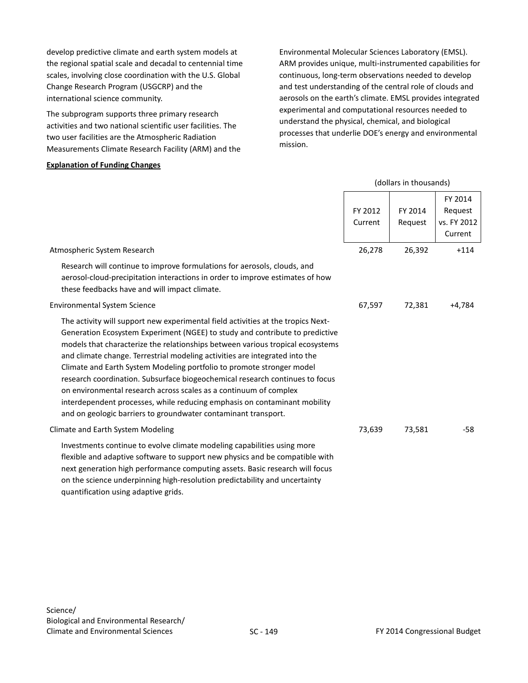develop predictive climate and earth system models at the regional spatial scale and decadal to centennial time scales, involving close coordination with the U.S. Global Change Research Program (USGCRP) and the international science community.

The subprogram supports three primary research activities and two national scientific user facilities. The two user facilities are the Atmospheric Radiation Measurements Climate Research Facility (ARM) and the

#### **Explanation of Funding Changes**

Environmental Molecular Sciences Laboratory (EMSL). ARM provides unique, multi-instrumented capabilities for continuous, long-term observations needed to develop and test understanding of the central role of clouds and aerosols on the earth's climate. EMSL provides integrated experimental and computational resources needed to understand the physical, chemical, and biological processes that underlie DOE's energy and environmental mission.

|                                                                                                                                                                                                                                                                                                                                                                                                                                                                                                                                                                                                                                                                                                                |                    | (dollars in thousands) |                                              |
|----------------------------------------------------------------------------------------------------------------------------------------------------------------------------------------------------------------------------------------------------------------------------------------------------------------------------------------------------------------------------------------------------------------------------------------------------------------------------------------------------------------------------------------------------------------------------------------------------------------------------------------------------------------------------------------------------------------|--------------------|------------------------|----------------------------------------------|
|                                                                                                                                                                                                                                                                                                                                                                                                                                                                                                                                                                                                                                                                                                                | FY 2012<br>Current | FY 2014<br>Request     | FY 2014<br>Request<br>vs. FY 2012<br>Current |
| Atmospheric System Research                                                                                                                                                                                                                                                                                                                                                                                                                                                                                                                                                                                                                                                                                    | 26,278             | 26,392                 | $+114$                                       |
| Research will continue to improve formulations for aerosols, clouds, and<br>aerosol-cloud-precipitation interactions in order to improve estimates of how<br>these feedbacks have and will impact climate.                                                                                                                                                                                                                                                                                                                                                                                                                                                                                                     |                    |                        |                                              |
| <b>Environmental System Science</b>                                                                                                                                                                                                                                                                                                                                                                                                                                                                                                                                                                                                                                                                            | 67,597             | 72,381                 | $+4,784$                                     |
| The activity will support new experimental field activities at the tropics Next-<br>Generation Ecosystem Experiment (NGEE) to study and contribute to predictive<br>models that characterize the relationships between various tropical ecosystems<br>and climate change. Terrestrial modeling activities are integrated into the<br>Climate and Earth System Modeling portfolio to promote stronger model<br>research coordination. Subsurface biogeochemical research continues to focus<br>on environmental research across scales as a continuum of complex<br>interdependent processes, while reducing emphasis on contaminant mobility<br>and on geologic barriers to groundwater contaminant transport. |                    |                        |                                              |
| Climate and Earth System Modeling                                                                                                                                                                                                                                                                                                                                                                                                                                                                                                                                                                                                                                                                              | 73,639             | 73,581                 | $-58$                                        |
| Investments continue to evolve climate modeling capabilities using more<br>flexible and adaptive software to support new physics and be compatible with<br>next generation high performance computing assets. Basic research will focus<br>on the science underpinning high-resolution predictability and uncertainty<br>quantification using adaptive grids.                                                                                                                                                                                                                                                                                                                                                  |                    |                        |                                              |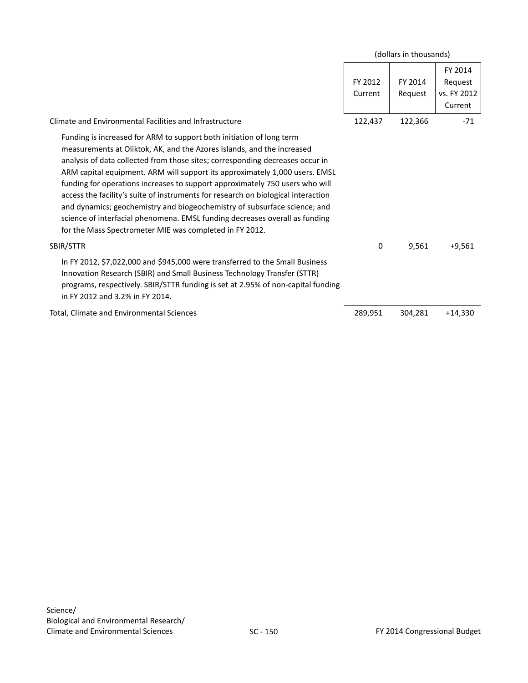|                                                                                                                                                                                                                                                                                                                                                                                                                                                                                                                                                                                                                                                                                                            |                    | (dollars in thousands) |                                              |
|------------------------------------------------------------------------------------------------------------------------------------------------------------------------------------------------------------------------------------------------------------------------------------------------------------------------------------------------------------------------------------------------------------------------------------------------------------------------------------------------------------------------------------------------------------------------------------------------------------------------------------------------------------------------------------------------------------|--------------------|------------------------|----------------------------------------------|
|                                                                                                                                                                                                                                                                                                                                                                                                                                                                                                                                                                                                                                                                                                            | FY 2012<br>Current | FY 2014<br>Request     | FY 2014<br>Request<br>vs. FY 2012<br>Current |
| Climate and Environmental Facilities and Infrastructure                                                                                                                                                                                                                                                                                                                                                                                                                                                                                                                                                                                                                                                    | 122,437            | 122,366                | $-71$                                        |
| Funding is increased for ARM to support both initiation of long term<br>measurements at Oliktok, AK, and the Azores Islands, and the increased<br>analysis of data collected from those sites; corresponding decreases occur in<br>ARM capital equipment. ARM will support its approximately 1,000 users. EMSL<br>funding for operations increases to support approximately 750 users who will<br>access the facility's suite of instruments for research on biological interaction<br>and dynamics; geochemistry and biogeochemistry of subsurface science; and<br>science of interfacial phenomena. EMSL funding decreases overall as funding<br>for the Mass Spectrometer MIE was completed in FY 2012. |                    |                        |                                              |
| SBIR/STTR                                                                                                                                                                                                                                                                                                                                                                                                                                                                                                                                                                                                                                                                                                  | 0                  | 9,561                  | $+9,561$                                     |
| In FY 2012, \$7,022,000 and \$945,000 were transferred to the Small Business<br>Innovation Research (SBIR) and Small Business Technology Transfer (STTR)<br>programs, respectively. SBIR/STTR funding is set at 2.95% of non-capital funding<br>in FY 2012 and 3.2% in FY 2014.                                                                                                                                                                                                                                                                                                                                                                                                                            |                    |                        |                                              |
| Total, Climate and Environmental Sciences                                                                                                                                                                                                                                                                                                                                                                                                                                                                                                                                                                                                                                                                  | 289,951            | 304,281                | $+14,330$                                    |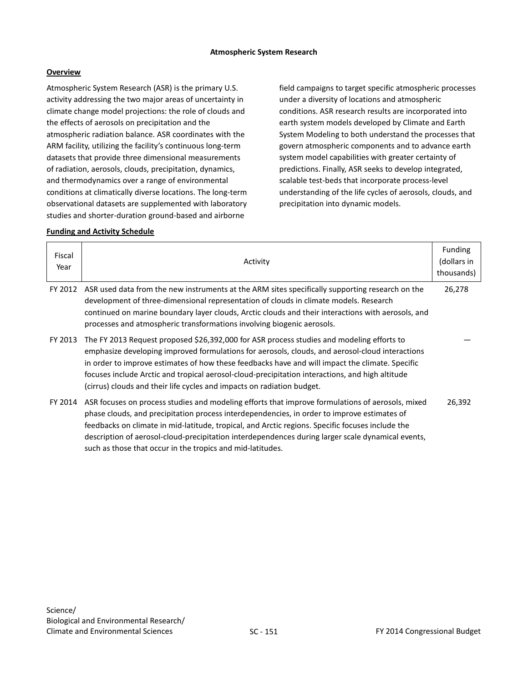Atmospheric System Research (ASR) is the primary U.S. activity addressing the two major areas of uncertainty in climate change model projections: the role of clouds and the effects of aerosols on precipitation and the atmospheric radiation balance. ASR coordinates with the ARM facility, utilizing the facility's continuous long-term datasets that provide three dimensional measurements of radiation, aerosols, clouds, precipitation, dynamics, and thermodynamics over a range of environmental conditions at climatically diverse locations. The long-term observational datasets are supplemented with laboratory studies and shorter-duration ground-based and airborne

field campaigns to target specific atmospheric processes under a diversity of locations and atmospheric conditions. ASR research results are incorporated into earth system models developed by Climate and Earth System Modeling to both understand the processes that govern atmospheric components and to advance earth system model capabilities with greater certainty of predictions. Finally, ASR seeks to develop integrated, scalable test-beds that incorporate process-level understanding of the life cycles of aerosols, clouds, and precipitation into dynamic models.

# **Funding and Activity Schedule**

<span id="page-22-0"></span>

| Fiscal<br>Year | Activity                                                                                                                                                                                                                                                                                                                                                                                                                                                                     | <b>Funding</b><br>(dollars in<br>thousands) |
|----------------|------------------------------------------------------------------------------------------------------------------------------------------------------------------------------------------------------------------------------------------------------------------------------------------------------------------------------------------------------------------------------------------------------------------------------------------------------------------------------|---------------------------------------------|
| FY 2012        | ASR used data from the new instruments at the ARM sites specifically supporting research on the<br>development of three-dimensional representation of clouds in climate models. Research<br>continued on marine boundary layer clouds, Arctic clouds and their interactions with aerosols, and<br>processes and atmospheric transformations involving biogenic aerosols.                                                                                                     | 26,278                                      |
| FY 2013        | The FY 2013 Request proposed \$26,392,000 for ASR process studies and modeling efforts to<br>emphasize developing improved formulations for aerosols, clouds, and aerosol-cloud interactions<br>in order to improve estimates of how these feedbacks have and will impact the climate. Specific<br>focuses include Arctic and tropical aerosol-cloud-precipitation interactions, and high altitude<br>(cirrus) clouds and their life cycles and impacts on radiation budget. |                                             |
| FY 2014        | ASR focuses on process studies and modeling efforts that improve formulations of aerosols, mixed<br>phase clouds, and precipitation process interdependencies, in order to improve estimates of<br>feedbacks on climate in mid-latitude, tropical, and Arctic regions. Specific focuses include the<br>description of aerosol-cloud-precipitation interdependences during larger scale dynamical events,<br>such as those that occur in the tropics and mid-latitudes.       | 26,392                                      |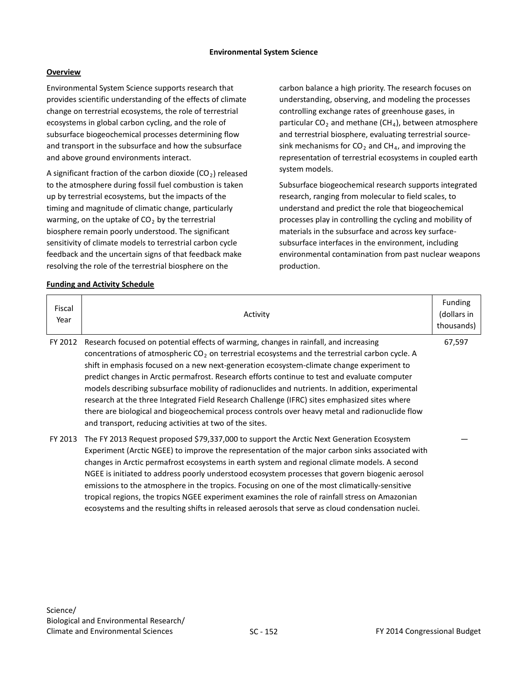Environmental System Science supports research that provides scientific understanding of the effects of climate change on terrestrial ecosystems, the role of terrestrial ecosystems in global carbon cycling, and the role of subsurface biogeochemical processes determining flow and transport in the subsurface and how the subsurface and above ground environments interact.

A significant fraction of the carbon dioxide  $(CO<sub>2</sub>)$  released to the atmosphere during fossil fuel combustion is taken up by terrestrial ecosystems, but the impacts of the timing and magnitude of climatic change, particularly warming, on the uptake of  $CO<sub>2</sub>$  by the terrestrial biosphere remain poorly understood. The significant sensitivity of climate models to terrestrial carbon cycle feedback and the uncertain signs of that feedback make resolving the role of the terrestrial biosphere on the

**Funding and Activity Schedule**

carbon balance a high priority. The research focuses on understanding, observing, and modeling the processes controlling exchange rates of greenhouse gases, in particular  $CO<sub>2</sub>$  and methane (CH<sub>4</sub>), between atmosphere and terrestrial biosphere, evaluating terrestrial sourcesink mechanisms for  $CO<sub>2</sub>$  and CH<sub>4</sub>, and improving the representation of terrestrial ecosystems in coupled earth system models.

Subsurface biogeochemical research supports integrated research, ranging from molecular to field scales, to understand and predict the role that biogeochemical processes play in controlling the cycling and mobility of materials in the subsurface and across key surfacesubsurface interfaces in the environment, including environmental contamination from past nuclear weapons production.

| Fiscal<br>Year | Activity                                                                                                                                                                                                                                                                                                                                                                                                                                                                                                                                                                                                                                                                                                                                                   | Funding<br>(dollars in<br>thousands) |
|----------------|------------------------------------------------------------------------------------------------------------------------------------------------------------------------------------------------------------------------------------------------------------------------------------------------------------------------------------------------------------------------------------------------------------------------------------------------------------------------------------------------------------------------------------------------------------------------------------------------------------------------------------------------------------------------------------------------------------------------------------------------------------|--------------------------------------|
| FY 2012        | Research focused on potential effects of warming, changes in rainfall, and increasing<br>concentrations of atmospheric $CO2$ on terrestrial ecosystems and the terrestrial carbon cycle. A<br>shift in emphasis focused on a new next-generation ecosystem-climate change experiment to<br>predict changes in Arctic permafrost. Research efforts continue to test and evaluate computer<br>models describing subsurface mobility of radionuclides and nutrients. In addition, experimental<br>research at the three Integrated Field Research Challenge (IFRC) sites emphasized sites where<br>there are biological and biogeochemical process controls over heavy metal and radionuclide flow<br>and transport, reducing activities at two of the sites. | 67,597                               |
| FY 2013        | The FY 2013 Request proposed \$79,337,000 to support the Arctic Next Generation Ecosystem<br>Experiment (Arctic NGEE) to improve the representation of the major carbon sinks associated with<br>changes in Arctic permafrost ecosystems in earth system and regional climate models. A second<br>NGEE is initiated to address poorly understood ecosystem processes that govern biogenic aerosol<br>emissions to the atmosphere in the tropics. Focusing on one of the most climatically-sensitive<br>tropical regions, the tropics NGEE experiment examines the role of rainfall stress on Amazonian<br>ecosystems and the resulting shifts in released aerosols that serve as cloud condensation nuclei.                                                |                                      |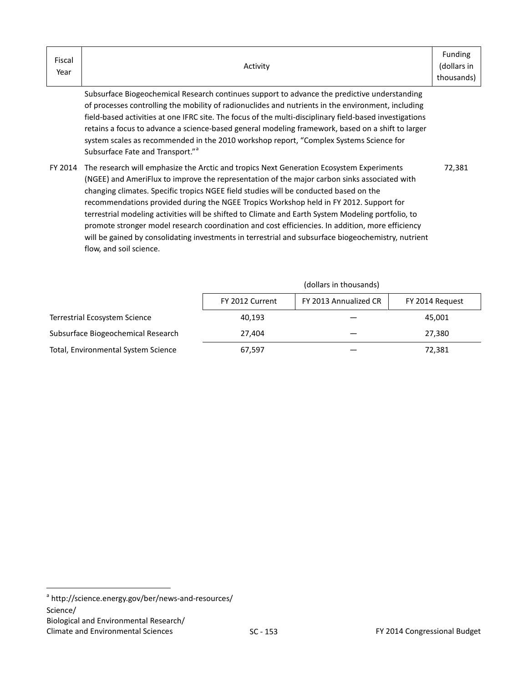| Fiscal<br>Year | Activity                                                                                                                                                                                                                                                                                                                                                                                                                                                                                                                                                                                                                                                                                                                        | Funding<br>(dollars in<br>thousands) |
|----------------|---------------------------------------------------------------------------------------------------------------------------------------------------------------------------------------------------------------------------------------------------------------------------------------------------------------------------------------------------------------------------------------------------------------------------------------------------------------------------------------------------------------------------------------------------------------------------------------------------------------------------------------------------------------------------------------------------------------------------------|--------------------------------------|
|                | Subsurface Biogeochemical Research continues support to advance the predictive understanding<br>of processes controlling the mobility of radionuclides and nutrients in the environment, including<br>field-based activities at one IFRC site. The focus of the multi-disciplinary field-based investigations<br>retains a focus to advance a science-based general modeling framework, based on a shift to larger<br>system scales as recommended in the 2010 workshop report, "Complex Systems Science for<br>Subsurface Fate and Transport." <sup>a</sup>                                                                                                                                                                    |                                      |
|                | FY 2014 The research will emphasize the Arctic and tropics Next Generation Ecosystem Experiments<br>(NGEE) and AmeriFlux to improve the representation of the major carbon sinks associated with<br>changing climates. Specific tropics NGEE field studies will be conducted based on the<br>recommendations provided during the NGEE Tropics Workshop held in FY 2012. Support for<br>terrestrial modeling activities will be shifted to Climate and Earth System Modeling portfolio, to<br>promote stronger model research coordination and cost efficiencies. In addition, more efficiency<br>will be gained by consolidating investments in terrestrial and subsurface biogeochemistry, nutrient<br>flow, and soil science. | 72,381                               |

|                                      | (dollars in thousands)                                      |  |        |  |  |
|--------------------------------------|-------------------------------------------------------------|--|--------|--|--|
|                                      | FY 2013 Annualized CR<br>FY 2012 Current<br>FY 2014 Request |  |        |  |  |
| <b>Terrestrial Ecosystem Science</b> | 40.193                                                      |  | 45,001 |  |  |
| Subsurface Biogeochemical Research   | 27.404                                                      |  | 27,380 |  |  |
| Total, Environmental System Science  | 67,597                                                      |  | 72,381 |  |  |

<span id="page-24-0"></span><sup>&</sup>lt;sup>a</sup> <http://science.energy.gov/ber/news-and-resources/> Science/ Biological and Environmental Research/ Climate and Environmental Sciences 6 1999 SC - 153 6 153 FY 2014 Congressional Budget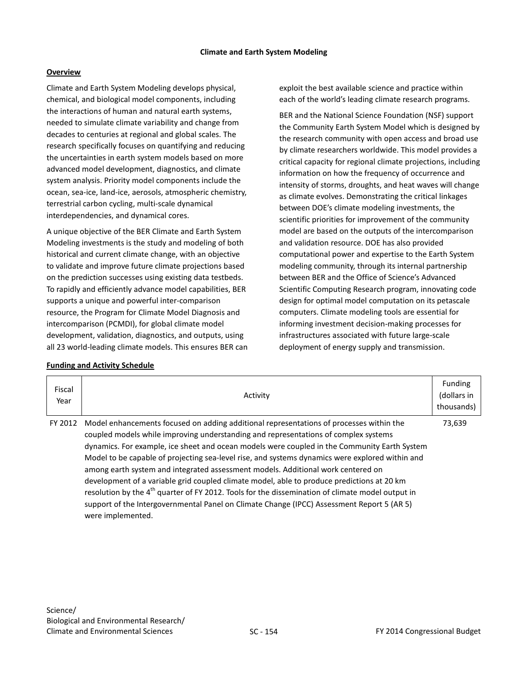Climate and Earth System Modeling develops physical, chemical, and biological model components, including the interactions of human and natural earth systems, needed to simulate climate variability and change from decades to centuries at regional and global scales. The research specifically focuses on quantifying and reducing the uncertainties in earth system models based on more advanced model development, diagnostics, and climate system analysis. Priority model components include the ocean, sea-ice, land-ice, aerosols, atmospheric chemistry, terrestrial carbon cycling, multi-scale dynamical interdependencies, and dynamical cores.

A unique objective of the BER Climate and Earth System Modeling investments is the study and modeling of both historical and current climate change, with an objective to validate and improve future climate projections based on the prediction successes using existing data testbeds. To rapidly and efficiently advance model capabilities, BER supports a unique and powerful inter-comparison resource, the Program for Climate Model Diagnosis and intercomparison (PCMDI), for global climate model development, validation, diagnostics, and outputs, using all 23 world-leading climate models. This ensures BER can

### **Funding and Activity Schedule**

exploit the best available science and practice within each of the world's leading climate research programs.

BER and the National Science Foundation (NSF) support the Community Earth System Model which is designed by the research community with open access and broad use by climate researchers worldwide. This model provides a critical capacity for regional climate projections, including information on how the frequency of occurrence and intensity of storms, droughts, and heat waves will change as climate evolves. Demonstrating the critical linkages between DOE's climate modeling investments, the scientific priorities for improvement of the community model are based on the outputs of the intercomparison and validation resource. DOE has also provided computational power and expertise to the Earth System modeling community, through its internal partnership between BER and the Office of Science's Advanced Scientific Computing Research program, innovating code design for optimal model computation on its petascale computers. Climate modeling tools are essential for informing investment decision-making processes for infrastructures associated with future large-scale deployment of energy supply and transmission.

| Fiscal<br>Year | Activity                                                                                                                                                                                                                                                                                                                                                                                                                                                                                                                                                                                                                                                                                                                                                                                               | Funding<br>(dollars in<br>thousands) |
|----------------|--------------------------------------------------------------------------------------------------------------------------------------------------------------------------------------------------------------------------------------------------------------------------------------------------------------------------------------------------------------------------------------------------------------------------------------------------------------------------------------------------------------------------------------------------------------------------------------------------------------------------------------------------------------------------------------------------------------------------------------------------------------------------------------------------------|--------------------------------------|
| FY 2012        | Model enhancements focused on adding additional representations of processes within the<br>coupled models while improving understanding and representations of complex systems<br>dynamics. For example, ice sheet and ocean models were coupled in the Community Earth System<br>Model to be capable of projecting sea-level rise, and systems dynamics were explored within and<br>among earth system and integrated assessment models. Additional work centered on<br>development of a variable grid coupled climate model, able to produce predictions at 20 km<br>resolution by the 4 <sup>th</sup> quarter of FY 2012. Tools for the dissemination of climate model output in<br>support of the Intergovernmental Panel on Climate Change (IPCC) Assessment Report 5 (AR 5)<br>were implemented. | 73,639                               |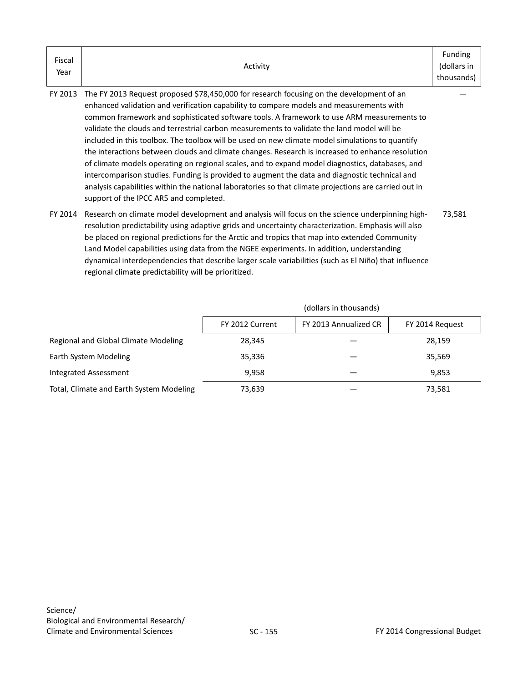| Fiscal | Activity | Funding<br>(dollars in |
|--------|----------|------------------------|
| Year   |          | thousands)             |

FY 2013 The FY 2013 Request proposed \$78,450,000 for research focusing on the development of an enhanced validation and verification capability to compare models and measurements with common framework and sophisticated software tools. A framework to use ARM measurements to validate the clouds and terrestrial carbon measurements to validate the land model will be included in this toolbox. The toolbox will be used on new climate model simulations to quantify the interactions between clouds and climate changes. Research is increased to enhance resolution of climate models operating on regional scales, and to expand model diagnostics, databases, and intercomparison studies. Funding is provided to augment the data and diagnostic technical and analysis capabilities within the national laboratories so that climate projections are carried out in support of the IPCC AR5 and completed.

FY 2014 Research on climate model development and analysis will focus on the science underpinning highresolution predictability using adaptive grids and uncertainty characterization. Emphasis will also be placed on regional predictions for the Arctic and tropics that map into extended Community Land Model capabilities using data from the NGEE experiments. In addition, understanding dynamical interdependencies that describe larger scale variabilities (such as El Niño) that influence regional climate predictability will be prioritized. 73,581

|                                          | (dollars in thousands)                                      |  |        |  |  |
|------------------------------------------|-------------------------------------------------------------|--|--------|--|--|
|                                          | FY 2013 Annualized CR<br>FY 2012 Current<br>FY 2014 Request |  |        |  |  |
| Regional and Global Climate Modeling     | 28,345                                                      |  | 28,159 |  |  |
| Earth System Modeling                    | 35,336                                                      |  | 35,569 |  |  |
| Integrated Assessment                    | 9.958                                                       |  | 9.853  |  |  |
| Total, Climate and Earth System Modeling | 73,639                                                      |  | 73,581 |  |  |

—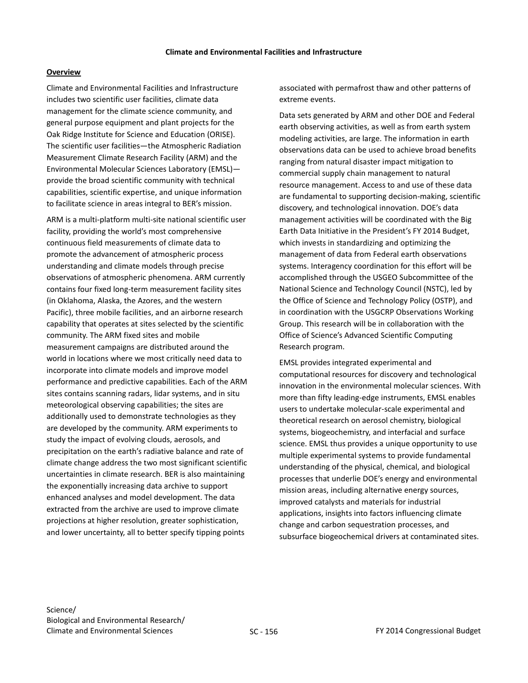Climate and Environmental Facilities and Infrastructure includes two scientific user facilities, climate data management for the climate science community, and general purpose equipment and plant projects for the Oak Ridge Institute for Science and Education (ORISE). The scientific user facilities—the Atmospheric Radiation Measurement Climate Research Facility (ARM) and the Environmental Molecular Sciences Laboratory (EMSL) provide the broad scientific community with technical capabilities, scientific expertise, and unique information to facilitate science in areas integral to BER's mission.

ARM is a multi-platform multi-site national scientific user facility, providing the world's most comprehensive continuous field measurements of climate data to promote the advancement of atmospheric process understanding and climate models through precise observations of atmospheric phenomena. ARM currently contains four fixed long-term measurement facility sites (in Oklahoma, Alaska, the Azores, and the western Pacific), three mobile facilities, and an airborne research capability that operates at sites selected by the scientific community. The ARM fixed sites and mobile measurement campaigns are distributed around the world in locations where we most critically need data to incorporate into climate models and improve model performance and predictive capabilities. Each of the ARM sites contains scanning radars, lidar systems, and in situ meteorological observing capabilities; the sites are additionally used to demonstrate technologies as they are developed by the community. ARM experiments to study the impact of evolving clouds, aerosols, and precipitation on the earth's radiative balance and rate of climate change address the two most significant scientific uncertainties in climate research. BER is also maintaining the exponentially increasing data archive to support enhanced analyses and model development. The data extracted from the archive are used to improve climate projections at higher resolution, greater sophistication, and lower uncertainty, all to better specify tipping points

associated with permafrost thaw and other patterns of extreme events.

Data sets generated by ARM and other DOE and Federal earth observing activities, as well as from earth system modeling activities, are large. The information in earth observations data can be used to achieve broad benefits ranging from natural disaster impact mitigation to commercial supply chain management to natural resource management. Access to and use of these data are fundamental to supporting decision-making, scientific discovery, and technological innovation. DOE's data management activities will be coordinated with the Big Earth Data Initiative in the President's FY 2014 Budget, which invests in standardizing and optimizing the management of data from Federal earth observations systems. Interagency coordination for this effort will be accomplished through the USGEO Subcommittee of the National Science and Technology Council (NSTC), led by the Office of Science and Technology Policy (OSTP), and in coordination with the USGCRP Observations Working Group. This research will be in collaboration with the Office of Science's Advanced Scientific Computing Research program.

EMSL provides integrated experimental and computational resources for discovery and technological innovation in the environmental molecular sciences. With more than fifty leading-edge instruments, EMSL enables users to undertake molecular-scale experimental and theoretical research on aerosol chemistry, biological systems, biogeochemistry, and interfacial and surface science. EMSL thus provides a unique opportunity to use multiple experimental systems to provide fundamental understanding of the physical, chemical, and biological processes that underlie DOE's energy and environmental mission areas, including alternative energy sources, improved catalysts and materials for industrial applications, insights into factors influencing climate change and carbon sequestration processes, and subsurface biogeochemical drivers at contaminated sites.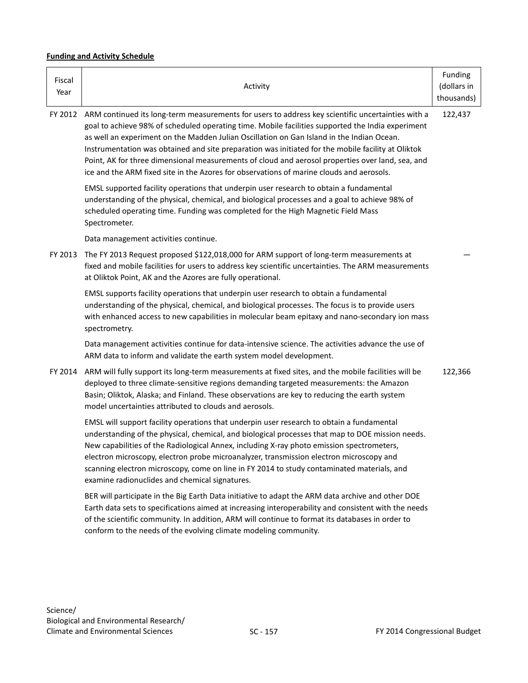# **Funding and Activity Schedule**

| Fiscal<br>Year | Activity                                                                                                                                                                                                                                                                                                                                                                                                                                                                                                                                                                                                  | Funding<br>(dollars in<br>thousands) |
|----------------|-----------------------------------------------------------------------------------------------------------------------------------------------------------------------------------------------------------------------------------------------------------------------------------------------------------------------------------------------------------------------------------------------------------------------------------------------------------------------------------------------------------------------------------------------------------------------------------------------------------|--------------------------------------|
| FY 2012        | ARM continued its long-term measurements for users to address key scientific uncertainties with a<br>goal to achieve 98% of scheduled operating time. Mobile facilities supported the India experiment<br>as well an experiment on the Madden Julian Oscillation on Gan Island in the Indian Ocean.<br>Instrumentation was obtained and site preparation was initiated for the mobile facility at Oliktok<br>Point, AK for three dimensional measurements of cloud and aerosol properties over land, sea, and<br>ice and the ARM fixed site in the Azores for observations of marine clouds and aerosols. | 122,437                              |
|                | EMSL supported facility operations that underpin user research to obtain a fundamental<br>understanding of the physical, chemical, and biological processes and a goal to achieve 98% of<br>scheduled operating time. Funding was completed for the High Magnetic Field Mass<br>Spectrometer.                                                                                                                                                                                                                                                                                                             |                                      |
|                | Data management activities continue.                                                                                                                                                                                                                                                                                                                                                                                                                                                                                                                                                                      |                                      |
| FY 2013        | The FY 2013 Request proposed \$122,018,000 for ARM support of long-term measurements at<br>fixed and mobile facilities for users to address key scientific uncertainties. The ARM measurements<br>at Oliktok Point, AK and the Azores are fully operational.                                                                                                                                                                                                                                                                                                                                              |                                      |
|                | EMSL supports facility operations that underpin user research to obtain a fundamental<br>understanding of the physical, chemical, and biological processes. The focus is to provide users<br>with enhanced access to new capabilities in molecular beam epitaxy and nano-secondary ion mass<br>spectrometry.                                                                                                                                                                                                                                                                                              |                                      |
|                | Data management activities continue for data-intensive science. The activities advance the use of<br>ARM data to inform and validate the earth system model development.                                                                                                                                                                                                                                                                                                                                                                                                                                  |                                      |
| FY 2014        | ARM will fully support its long-term measurements at fixed sites, and the mobile facilities will be<br>deployed to three climate-sensitive regions demanding targeted measurements: the Amazon<br>Basin; Oliktok, Alaska; and Finland. These observations are key to reducing the earth system<br>model uncertainties attributed to clouds and aerosols.                                                                                                                                                                                                                                                  | 122,366                              |
|                | EMSL will support facility operations that underpin user research to obtain a fundamental<br>understanding of the physical, chemical, and biological processes that map to DOE mission needs.<br>New capabilities of the Radiological Annex, including X-ray photo emission spectrometers,<br>electron microscopy, electron probe microanalyzer, transmission electron microscopy and<br>scanning electron microscopy, come on line in FY 2014 to study contaminated materials, and<br>examine radionuclides and chemical signatures.                                                                     |                                      |
|                | BER will participate in the Big Earth Data initiative to adapt the ARM data archive and other DOE<br>Earth data sets to specifications aimed at increasing interoperability and consistent with the needs<br>of the scientific community. In addition, ARM will continue to format its databases in order to<br>conform to the needs of the evolving climate modeling community.                                                                                                                                                                                                                          |                                      |
|                |                                                                                                                                                                                                                                                                                                                                                                                                                                                                                                                                                                                                           |                                      |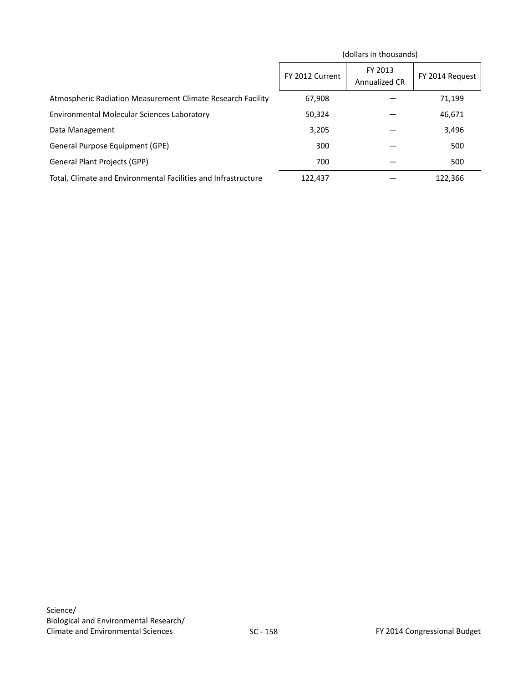|                                                                | (dollars in thousands) |                          |                 |
|----------------------------------------------------------------|------------------------|--------------------------|-----------------|
|                                                                | FY 2012 Current        | FY 2013<br>Annualized CR | FY 2014 Request |
| Atmospheric Radiation Measurement Climate Research Facility    | 67,908                 |                          | 71,199          |
| Environmental Molecular Sciences Laboratory                    | 50,324                 |                          | 46,671          |
| Data Management                                                | 3,205                  |                          | 3,496           |
| General Purpose Equipment (GPE)                                | 300                    |                          | 500             |
| <b>General Plant Projects (GPP)</b>                            | 700                    |                          | 500             |
| Total, Climate and Environmental Facilities and Infrastructure | 122,437                |                          | 122,366         |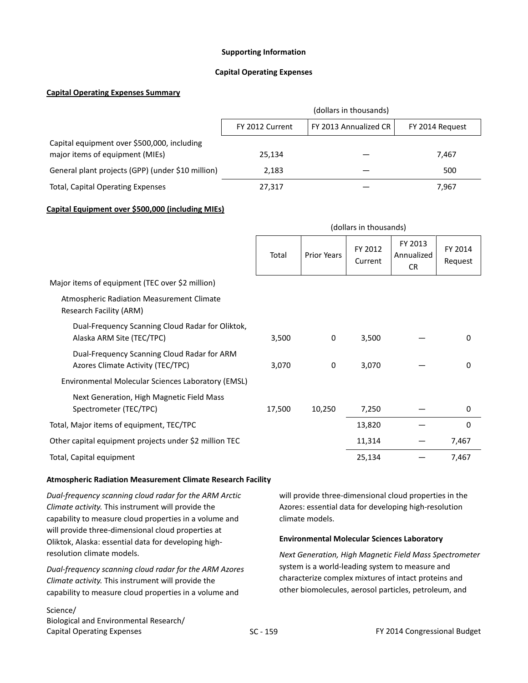### **Supporting Information**

### **Capital Operating Expenses**

### **Capital Operating Expenses Summary**

|                                                                                | (dollars in thousands)                                      |  |       |  |  |
|--------------------------------------------------------------------------------|-------------------------------------------------------------|--|-------|--|--|
|                                                                                | FY 2013 Annualized CR<br>FY 2012 Current<br>FY 2014 Request |  |       |  |  |
| Capital equipment over \$500,000, including<br>major items of equipment (MIEs) | 25.134                                                      |  | 7,467 |  |  |
| General plant projects (GPP) (under \$10 million)                              | 2,183                                                       |  | 500   |  |  |
| <b>Total, Capital Operating Expenses</b>                                       | 27,317                                                      |  | 7,967 |  |  |

### **Capital Equipment over \$500,000 (including MIEs)**

|                                                                                  | (dollars in thousands) |                    |                    |                                    |                    |
|----------------------------------------------------------------------------------|------------------------|--------------------|--------------------|------------------------------------|--------------------|
|                                                                                  | Total                  | <b>Prior Years</b> | FY 2012<br>Current | FY 2013<br>Annualized<br><b>CR</b> | FY 2014<br>Request |
| Major items of equipment (TEC over \$2 million)                                  |                        |                    |                    |                                    |                    |
| <b>Atmospheric Radiation Measurement Climate</b><br>Research Facility (ARM)      |                        |                    |                    |                                    |                    |
| Dual-Frequency Scanning Cloud Radar for Oliktok,<br>Alaska ARM Site (TEC/TPC)    | 3,500                  | 0                  | 3,500              |                                    | $\mathbf 0$        |
| Dual-Frequency Scanning Cloud Radar for ARM<br>Azores Climate Activity (TEC/TPC) | 3,070                  | 0                  | 3,070              |                                    | 0                  |
| Environmental Molecular Sciences Laboratory (EMSL)                               |                        |                    |                    |                                    |                    |
| Next Generation, High Magnetic Field Mass<br>Spectrometer (TEC/TPC)              | 17,500                 | 10,250             | 7,250              |                                    | $\boldsymbol{0}$   |
| Total, Major items of equipment, TEC/TPC                                         |                        |                    | 13,820             |                                    | 0                  |
| Other capital equipment projects under \$2 million TEC                           |                        |                    | 11,314             |                                    | 7,467              |
| Total, Capital equipment                                                         |                        |                    | 25,134             |                                    | 7,467              |

### **Atmospheric Radiation Measurement Climate Research Facility**

*Dual-frequency scanning cloud radar for the ARM Arctic Climate activity.* This instrument will provide the capability to measure cloud properties in a volume and will provide three-dimensional cloud properties at Oliktok, Alaska: essential data for developing highresolution climate models.

*Dual-frequency scanning cloud radar for the ARM Azores Climate activity.* This instrument will provide the capability to measure cloud properties in a volume and

### Science/ Biological and Environmental Research/ Capital Operating Expenses

will provide three-dimensional cloud properties in the Azores: essential data for developing high-resolution climate models.

### **Environmental Molecular Sciences Laboratory**

*Next Generation, High Magnetic Field Mass Spectrometer*  system is a world-leading system to measure and characterize complex mixtures of intact proteins and other biomolecules, aerosol particles, petroleum, and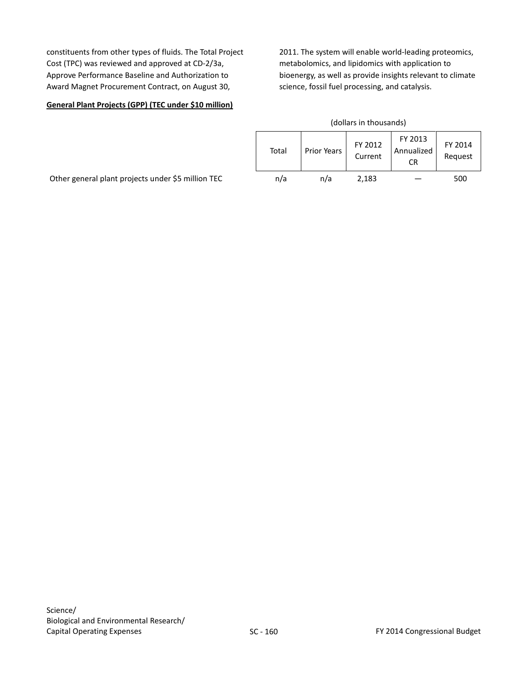constituents from other types of fluids. The Total Project Cost (TPC) was reviewed and approved at CD-2/3a, Approve Performance Baseline and Authorization to Award Magnet Procurement Contract, on August 30,

2011. The system will enable world-leading proteomics, metabolomics, and lipidomics with application to bioenergy, as well as provide insights relevant to climate science, fossil fuel processing, and catalysis.

# **General Plant Projects (GPP) (TEC under \$10 million)**

| (dollars in thousands) |             |                    |                             |                    |  |  |
|------------------------|-------------|--------------------|-----------------------------|--------------------|--|--|
| Total                  | Prior Years | FY 2012<br>Current | FY 2013<br>Annualized<br>CR | FY 2014<br>Request |  |  |
| n/a                    | n/a         | 2,183              |                             | 500                |  |  |

Other general plant projects under \$5 million TEC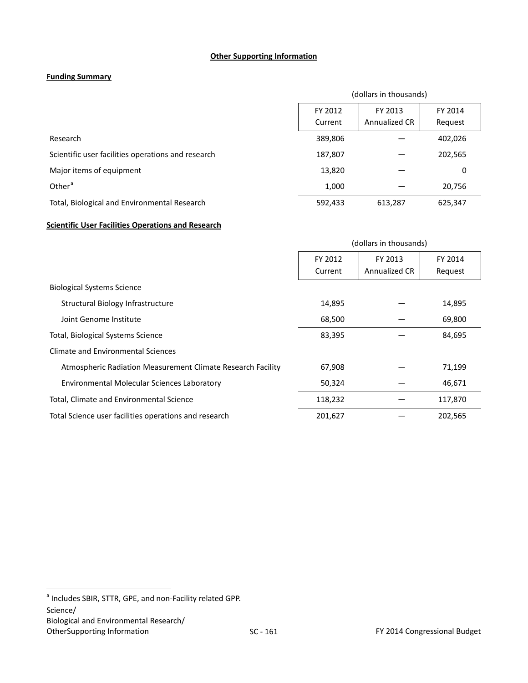### **Other Supporting Information**

# **Funding Summary**

|                                                    | (dollars in thousands) |                          |                    |  |  |
|----------------------------------------------------|------------------------|--------------------------|--------------------|--|--|
|                                                    | FY 2012<br>Current     | FY 2013<br>Annualized CR | FY 2014<br>Request |  |  |
| Research                                           | 389,806                |                          | 402,026            |  |  |
| Scientific user facilities operations and research | 187,807                |                          | 202,565            |  |  |
| Major items of equipment                           | 13,820                 |                          | 0                  |  |  |
| Other <sup>a</sup>                                 | 1,000                  |                          | 20,756             |  |  |
| Total, Biological and Environmental Research       | 592,433                | 613,287                  | 625,347            |  |  |

# **Scientific User Facilities Operations and Research**

|                                                             | (dollars in thousands) |               |         |
|-------------------------------------------------------------|------------------------|---------------|---------|
|                                                             | FY 2012                | FY 2013       | FY 2014 |
|                                                             | Current                | Annualized CR | Request |
| <b>Biological Systems Science</b>                           |                        |               |         |
| Structural Biology Infrastructure                           | 14,895                 |               | 14,895  |
| Joint Genome Institute                                      | 68,500                 |               | 69,800  |
| Total, Biological Systems Science                           | 83,395                 |               | 84,695  |
| Climate and Environmental Sciences                          |                        |               |         |
| Atmospheric Radiation Measurement Climate Research Facility | 67,908                 |               | 71,199  |
| Environmental Molecular Sciences Laboratory                 | 50,324                 |               | 46,671  |
| Total, Climate and Environmental Science                    | 118,232                |               | 117,870 |
| Total Science user facilities operations and research       | 201,627                |               | 202,565 |

<span id="page-32-0"></span> $a$  Includes SBIR, STTR, GPE, and non-Facility related GPP. Science/ Biological and Environmental Research/<br>OtherSupporting Information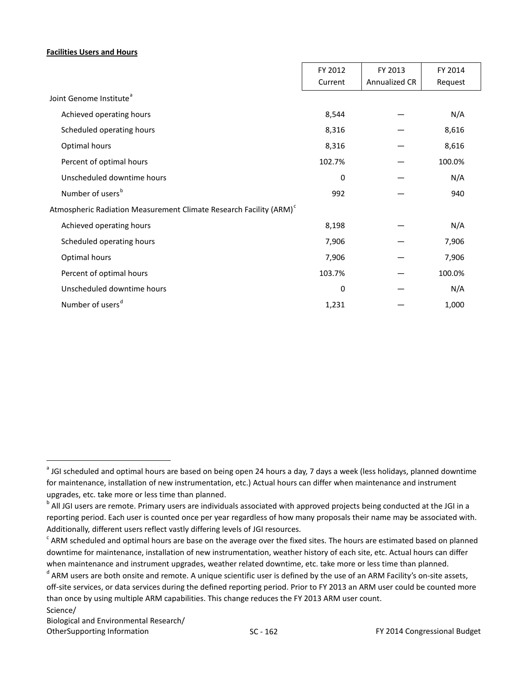### **Facilities Users and Hours**

|                                                                                | FY 2012  | FY 2013       | FY 2014 |  |
|--------------------------------------------------------------------------------|----------|---------------|---------|--|
|                                                                                | Current  | Annualized CR | Request |  |
| Joint Genome Institute <sup>a</sup>                                            |          |               |         |  |
| Achieved operating hours                                                       | 8,544    |               | N/A     |  |
| Scheduled operating hours                                                      | 8,316    |               | 8,616   |  |
| Optimal hours                                                                  | 8,316    |               | 8,616   |  |
| Percent of optimal hours                                                       | 102.7%   |               | 100.0%  |  |
| Unscheduled downtime hours                                                     | $\Omega$ |               | N/A     |  |
| Number of users <sup>b</sup>                                                   | 992      |               | 940     |  |
| Atmospheric Radiation Measurement Climate Research Facility (ARM) <sup>c</sup> |          |               |         |  |
| Achieved operating hours                                                       | 8,198    |               | N/A     |  |
| Scheduled operating hours                                                      | 7,906    |               | 7,906   |  |
| Optimal hours                                                                  | 7,906    |               | 7,906   |  |
| Percent of optimal hours                                                       | 103.7%   |               | 100.0%  |  |
| Unscheduled downtime hours                                                     | $\Omega$ |               | N/A     |  |
| Number of users <sup>d</sup>                                                   | 1,231    |               | 1,000   |  |

<span id="page-33-0"></span><sup>&</sup>lt;sup>a</sup> JGI scheduled and optimal hours are based on being open 24 hours a day, 7 days a week (less holidays, planned downtime for maintenance, installation of new instrumentation, etc.) Actual hours can differ when maintenance and instrument

<span id="page-33-1"></span>upgrades, etc. take more or less time than planned.<br><sup>b</sup> All JGI users are remote. Primary users are individuals associated with approved projects being conducted at the JGI in a reporting period. Each user is counted once per year regardless of how many proposals their name may be associated with. Additionally, different users reflect vastly differing levels of JGI resources.

<span id="page-33-2"></span> $c^2$  ARM scheduled and optimal hours are base on the average over the fixed sites. The hours are estimated based on planned downtime for maintenance, installation of new instrumentation, weather history of each site, etc. Actual hours can differ when maintenance and instrument upgrades, weather related downtime, etc. take more or less time than planned.

<span id="page-33-3"></span>d ARM users are both onsite and remote. A unique scientific user is defined by the use of an ARM Facility's on-site assets, off-site services, or data services during the defined reporting period. Prior to FY 2013 an ARM user could be counted more than once by using multiple ARM capabilities. This change reduces the FY 2013 ARM user count. Science/

Biological and Environmental Research/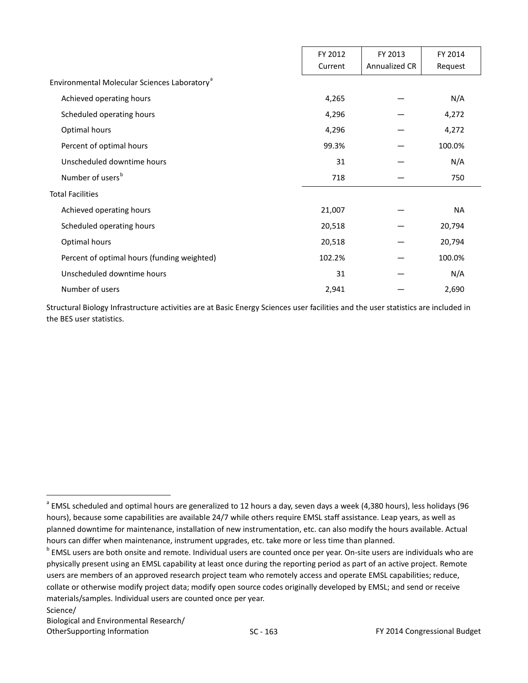|                                                          | FY 2012<br>Current | FY 2013<br>Annualized CR | FY 2014<br>Request |
|----------------------------------------------------------|--------------------|--------------------------|--------------------|
| Environmental Molecular Sciences Laboratory <sup>a</sup> |                    |                          |                    |
| Achieved operating hours                                 | 4,265              |                          | N/A                |
| Scheduled operating hours                                | 4,296              |                          | 4,272              |
| Optimal hours                                            | 4,296              |                          | 4,272              |
| Percent of optimal hours                                 | 99.3%              |                          | 100.0%             |
| Unscheduled downtime hours                               | 31                 |                          | N/A                |
| Number of users <sup>b</sup>                             | 718                |                          | 750                |
| <b>Total Facilities</b>                                  |                    |                          |                    |
| Achieved operating hours                                 | 21,007             |                          | <b>NA</b>          |
| Scheduled operating hours                                | 20,518             |                          | 20,794             |
| Optimal hours                                            | 20,518             |                          | 20,794             |
| Percent of optimal hours (funding weighted)              | 102.2%             |                          | 100.0%             |
| Unscheduled downtime hours                               | 31                 |                          | N/A                |
| Number of users                                          | 2,941              |                          | 2,690              |

Structural Biology Infrastructure activities are at Basic Energy Sciences user facilities and the user statistics are included in the BES user statistics.

Science/ Biological and Environmental Research/

<span id="page-34-0"></span><sup>&</sup>lt;sup>a</sup> EMSL scheduled and optimal hours are generalized to 12 hours a day, seven days a week (4,380 hours), less holidays (96 hours), because some capabilities are available 24/7 while others require EMSL staff assistance. Leap years, as well as planned downtime for maintenance, installation of new instrumentation, etc. can also modify the hours available. Actual hours can differ when maintenance, instrument upgrades, etc. take more or less time than planned.

<span id="page-34-1"></span><sup>&</sup>lt;sup>b</sup> EMSL users are both onsite and remote. Individual users are counted once per year. On-site users are individuals who are physically present using an EMSL capability at least once during the reporting period as part of an active project. Remote users are members of an approved research project team who remotely access and operate EMSL capabilities; reduce, collate or otherwise modify project data; modify open source codes originally developed by EMSL; and send or receive materials/samples. Individual users are counted once per year.